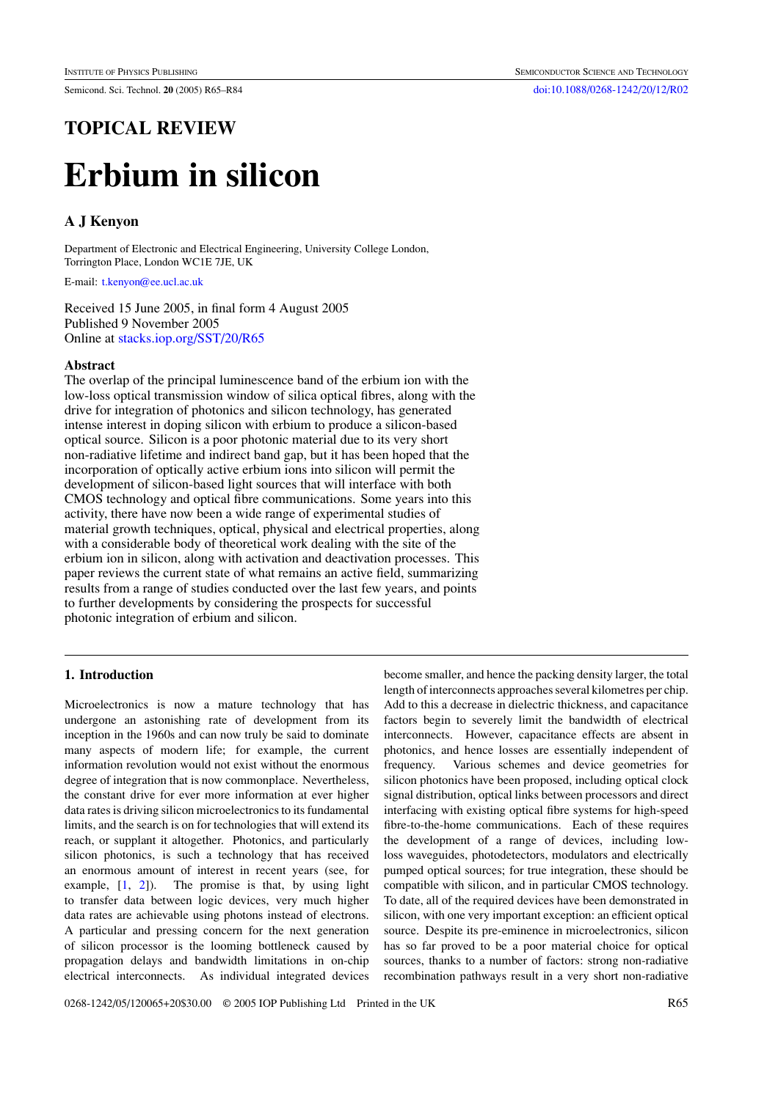# **Erbium in silicon**

# **A J Kenyon**

Department of Electronic and Electrical Engineering, University College London, Torrington Place, London WC1E 7JE, UK

E-mail: [t.kenyon@ee.ucl.ac.uk](mailto:t.kenyon@ee.ucl.ac.uk)

Received 15 June 2005, in final form 4 August 2005 Published 9 November 2005 Online at [stacks.iop.org/SST/20/R65](http://stacks.iop.org/SST/20/R65)

#### **Abstract**

The overlap of the principal luminescence band of the erbium ion with the low-loss optical transmission window of silica optical fibres, along with the drive for integration of photonics and silicon technology, has generated intense interest in doping silicon with erbium to produce a silicon-based optical source. Silicon is a poor photonic material due to its very short non-radiative lifetime and indirect band gap, but it has been hoped that the incorporation of optically active erbium ions into silicon will permit the development of silicon-based light sources that will interface with both CMOS technology and optical fibre communications. Some years into this activity, there have now been a wide range of experimental studies of material growth techniques, optical, physical and electrical properties, along with a considerable body of theoretical work dealing with the site of the erbium ion in silicon, along with activation and deactivation processes. This paper reviews the current state of what remains an active field, summarizing results from a range of studies conducted over the last few years, and points to further developments by considering the prospects for successful photonic integration of erbium and silicon.

# **1. Introduction**

Microelectronics is now a mature technology that has undergone an astonishing rate of development from its inception in the 1960s and can now truly be said to dominate many aspects of modern life; for example, the current information revolution would not exist without the enormous degree of integration that is now commonplace. Nevertheless, the constant drive for ever more information at ever higher data rates is driving silicon microelectronics to its fundamental limits, and the search is on for technologies that will extend its reach, or supplant it altogether. Photonics, and particularly silicon photonics, is such a technology that has received an enormous amount of interest in recent years (see, for example,  $[1, 2]$  $[1, 2]$  $[1, 2]$  $[1, 2]$ . The promise is that, by using light to transfer data between logic devices, very much higher data rates are achievable using photons instead of electrons. A particular and pressing concern for the next generation of silicon processor is the looming bottleneck caused by propagation delays and bandwidth limitations in on-chip electrical interconnects. As individual integrated devices

become smaller, and hence the packing density larger, the total length of interconnects approaches several kilometres per chip. Add to this a decrease in dielectric thickness, and capacitance factors begin to severely limit the bandwidth of electrical interconnects. However, capacitance effects are absent in photonics, and hence losses are essentially independent of frequency. Various schemes and device geometries for silicon photonics have been proposed, including optical clock signal distribution, optical links between processors and direct interfacing with existing optical fibre systems for high-speed fibre-to-the-home communications. Each of these requires the development of a range of devices, including lowloss waveguides, photodetectors, modulators and electrically pumped optical sources; for true integration, these should be compatible with silicon, and in particular CMOS technology. To date, all of the required devices have been demonstrated in silicon, with one very important exception: an efficient optical source. Despite its pre-eminence in microelectronics, silicon has so far proved to be a poor material choice for optical sources, thanks to a number of factors: strong non-radiative recombination pathways result in a very short non-radiative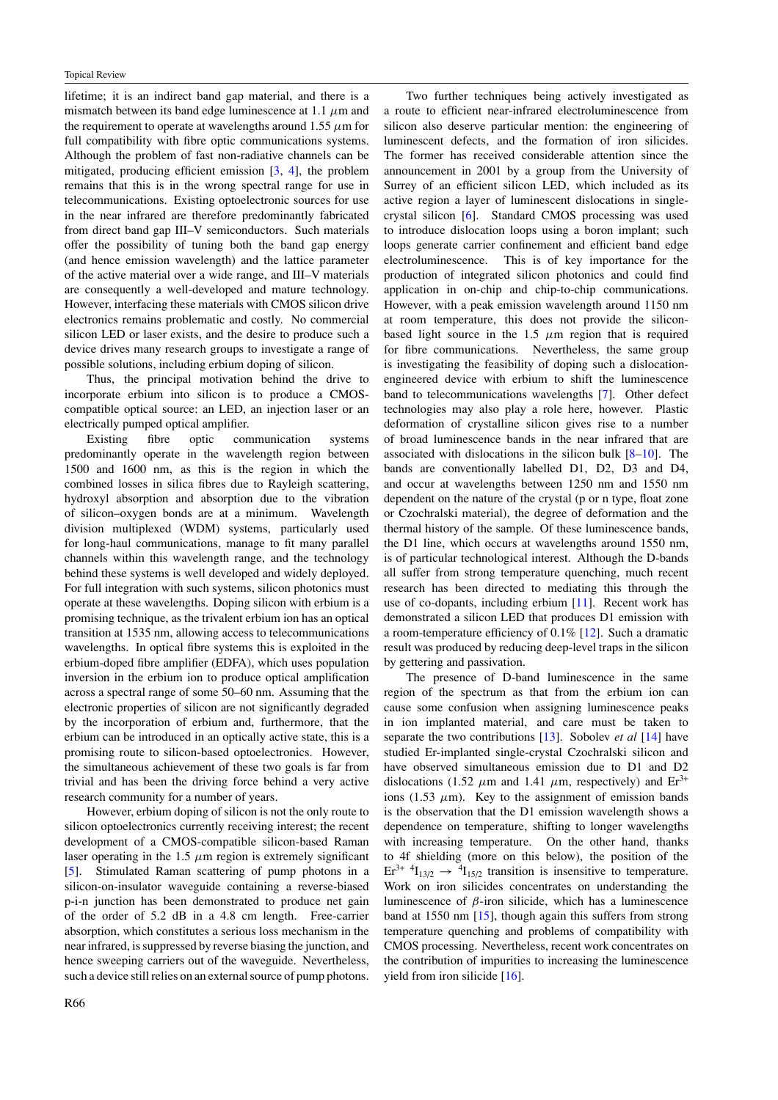lifetime; it is an indirect band gap material, and there is a mismatch between its band edge luminescence at 1.1  $\mu$ m and the requirement to operate at wavelengths around 1.55  $\mu$ m for full compatibility with fibre optic communications systems. Although the problem of fast non-radiative channels can be mitigated, producing efficient emission [\[3](#page-17-0), [4](#page-17-0)], the problem remains that this is in the wrong spectral range for use in telecommunications. Existing optoelectronic sources for use in the near infrared are therefore predominantly fabricated from direct band gap III–V semiconductors. Such materials offer the possibility of tuning both the band gap energy (and hence emission wavelength) and the lattice parameter of the active material over a wide range, and III–V materials are consequently a well-developed and mature technology. However, interfacing these materials with CMOS silicon drive electronics remains problematic and costly. No commercial silicon LED or laser exists, and the desire to produce such a device drives many research groups to investigate a range of possible solutions, including erbium doping of silicon.

Thus, the principal motivation behind the drive to incorporate erbium into silicon is to produce a CMOScompatible optical source: an LED, an injection laser or an electrically pumped optical amplifier.

Existing fibre optic communication systems predominantly operate in the wavelength region between 1500 and 1600 nm, as this is the region in which the combined losses in silica fibres due to Rayleigh scattering, hydroxyl absorption and absorption due to the vibration of silicon–oxygen bonds are at a minimum. Wavelength division multiplexed (WDM) systems, particularly used for long-haul communications, manage to fit many parallel channels within this wavelength range, and the technology behind these systems is well developed and widely deployed. For full integration with such systems, silicon photonics must operate at these wavelengths. Doping silicon with erbium is a promising technique, as the trivalent erbium ion has an optical transition at 1535 nm, allowing access to telecommunications wavelengths. In optical fibre systems this is exploited in the erbium-doped fibre amplifier (EDFA), which uses population inversion in the erbium ion to produce optical amplification across a spectral range of some 50–60 nm. Assuming that the electronic properties of silicon are not significantly degraded by the incorporation of erbium and, furthermore, that the erbium can be introduced in an optically active state, this is a promising route to silicon-based optoelectronics. However, the simultaneous achievement of these two goals is far from trivial and has been the driving force behind a very active research community for a number of years.

However, erbium doping of silicon is not the only route to silicon optoelectronics currently receiving interest; the recent development of a CMOS-compatible silicon-based Raman laser operating in the 1.5  $\mu$ m region is extremely significant [\[5](#page-17-0)]. Stimulated Raman scattering of pump photons in a silicon-on-insulator waveguide containing a reverse-biased p-i-n junction has been demonstrated to produce net gain of the order of 5.2 dB in a 4.8 cm length. Free-carrier absorption, which constitutes a serious loss mechanism in the near infrared, is suppressed by reverse biasing the junction, and hence sweeping carriers out of the waveguide. Nevertheless, such a device still relies on an external source of pump photons.

silicon also deserve particular mention: the engineering of luminescent defects, and the formation of iron silicides. The former has received considerable attention since the announcement in 2001 by a group from the University of Surrey of an efficient silicon LED, which included as its active region a layer of luminescent dislocations in singlecrystal silicon [\[6\]](#page-17-0). Standard CMOS processing was used to introduce dislocation loops using a boron implant; such loops generate carrier confinement and efficient band edge electroluminescence. This is of key importance for the production of integrated silicon photonics and could find application in on-chip and chip-to-chip communications. However, with a peak emission wavelength around 1150 nm at room temperature, this does not provide the siliconbased light source in the 1.5 *µ*m region that is required for fibre communications. Nevertheless, the same group is investigating the feasibility of doping such a dislocationengineered device with erbium to shift the luminescence band to telecommunications wavelengths [\[7](#page-17-0)]. Other defect technologies may also play a role here, however. Plastic deformation of crystalline silicon gives rise to a number of broad luminescence bands in the near infrared that are associated with dislocations in the silicon bulk [\[8–10](#page-17-0)]. The bands are conventionally labelled D1, D2, D3 and D4, and occur at wavelengths between 1250 nm and 1550 nm dependent on the nature of the crystal (p or n type, float zone or Czochralski material), the degree of deformation and the thermal history of the sample. Of these luminescence bands, the D1 line, which occurs at wavelengths around 1550 nm, is of particular technological interest. Although the D-bands all suffer from strong temperature quenching, much recent research has been directed to mediating this through the use of co-dopants, including erbium [\[11\]](#page-17-0). Recent work has demonstrated a silicon LED that produces D1 emission with a room-temperature efficiency of 0.1% [\[12\]](#page-17-0). Such a dramatic result was produced by reducing deep-level traps in the silicon by gettering and passivation.

Two further techniques being actively investigated as a route to efficient near-infrared electroluminescence from

The presence of D-band luminescence in the same region of the spectrum as that from the erbium ion can cause some confusion when assigning luminescence peaks in ion implanted material, and care must be taken to separate the two contributions [\[13\]](#page-17-0). Sobolev *et al* [\[14\]](#page-17-0) have studied Er-implanted single-crystal Czochralski silicon and have observed simultaneous emission due to D1 and D2 dislocations (1.52  $\mu$ m and 1.41  $\mu$ m, respectively) and Er<sup>3+</sup> ions (1.53  $\mu$ m). Key to the assignment of emission bands is the observation that the D1 emission wavelength shows a dependence on temperature, shifting to longer wavelengths with increasing temperature. On the other hand, thanks to 4f shielding (more on this below), the position of the  $\text{Er}^{3+4}I_{13/2} \rightarrow {}^{4}I_{15/2}$  transition is insensitive to temperature. Work on iron silicides concentrates on understanding the luminescence of *β*-iron silicide, which has a luminescence band at 1550 nm [\[15\]](#page-17-0), though again this suffers from strong temperature quenching and problems of compatibility with CMOS processing. Nevertheless, recent work concentrates on the contribution of impurities to increasing the luminescence yield from iron silicide [\[16\]](#page-17-0).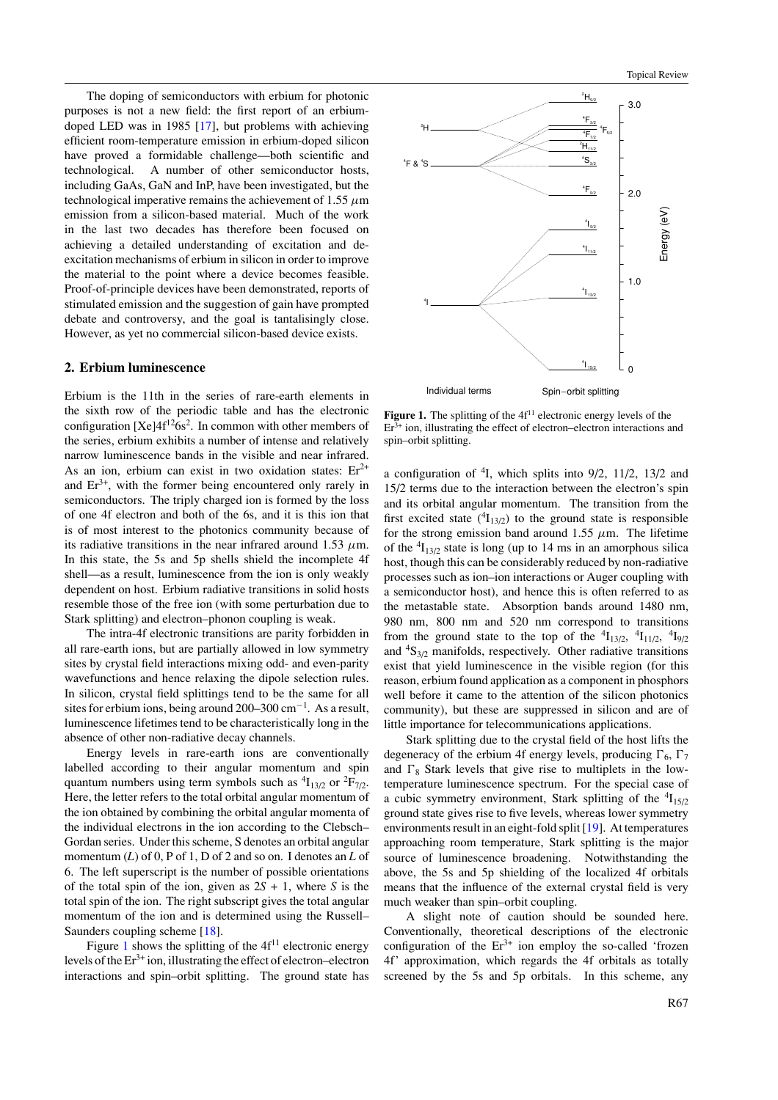The doping of semiconductors with erbium for photonic purposes is not a new field: the first report of an erbiumdoped LED was in 1985 [\[17\]](#page-17-0), but problems with achieving efficient room-temperature emission in erbium-doped silicon have proved a formidable challenge—both scientific and technological. A number of other semiconductor hosts, including GaAs, GaN and InP, have been investigated, but the technological imperative remains the achievement of 1.55  $\mu$ m emission from a silicon-based material. Much of the work in the last two decades has therefore been focused on achieving a detailed understanding of excitation and deexcitation mechanisms of erbium in silicon in order to improve the material to the point where a device becomes feasible. Proof-of-principle devices have been demonstrated, reports of stimulated emission and the suggestion of gain have prompted debate and controversy, and the goal is tantalisingly close. However, as yet no commercial silicon-based device exists.

# **2. Erbium luminescence**

Erbium is the 11th in the series of rare-earth elements in the sixth row of the periodic table and has the electronic configuration  $[Xe]4f^{12}6s^2$ . In common with other members of the series, erbium exhibits a number of intense and relatively narrow luminescence bands in the visible and near infrared. As an ion, erbium can exist in two oxidation states:  $Er^{2+}$ and  $Er<sup>3+</sup>$ , with the former being encountered only rarely in semiconductors. The triply charged ion is formed by the loss of one 4f electron and both of the 6s, and it is this ion that is of most interest to the photonics community because of its radiative transitions in the near infrared around  $1.53 \mu$ m. In this state, the 5s and 5p shells shield the incomplete 4f shell—as a result, luminescence from the ion is only weakly dependent on host. Erbium radiative transitions in solid hosts resemble those of the free ion (with some perturbation due to Stark splitting) and electron–phonon coupling is weak.

The intra-4f electronic transitions are parity forbidden in all rare-earth ions, but are partially allowed in low symmetry sites by crystal field interactions mixing odd- and even-parity wavefunctions and hence relaxing the dipole selection rules. In silicon, crystal field splittings tend to be the same for all sites for erbium ions, being around 200–300 cm<sup>-1</sup>. As a result, luminescence lifetimes tend to be characteristically long in the absence of other non-radiative decay channels.

Energy levels in rare-earth ions are conventionally labelled according to their angular momentum and spin quantum numbers using term symbols such as  ${}^{4}I_{13/2}$  or  ${}^{2}F_{7/2}$ . Here, the letter refers to the total orbital angular momentum of the ion obtained by combining the orbital angular momenta of the individual electrons in the ion according to the Clebsch– Gordan series. Under this scheme, S denotes an orbital angular momentum (*L*) of 0, P of 1, D of 2 and so on. I denotes an *L* of 6. The left superscript is the number of possible orientations of the total spin of the ion, given as  $2S + 1$ , where *S* is the total spin of the ion. The right subscript gives the total angular momentum of the ion and is determined using the Russell– Saunders coupling scheme [\[18](#page-17-0)].

Figure 1 shows the splitting of the  $4f<sup>11</sup>$  electronic energy levels of the  $Er^{3+}$  ion, illustrating the effect of electron–electron interactions and spin–orbit splitting. The ground state has



**Figure 1.** The splitting of the  $4f<sup>11</sup>$  electronic energy levels of the  $Er<sup>3+</sup>$  ion, illustrating the effect of electron–electron interactions and spin–orbit splitting.

a configuration of  $4$ I, which splits into  $9/2$ ,  $11/2$ ,  $13/2$  and 15/2 terms due to the interaction between the electron's spin and its orbital angular momentum. The transition from the first excited state  $(^{4}I_{13/2})$  to the ground state is responsible for the strong emission band around 1.55  $\mu$ m. The lifetime of the  ${}^{4}I_{13/2}$  state is long (up to 14 ms in an amorphous silica host, though this can be considerably reduced by non-radiative processes such as ion–ion interactions or Auger coupling with a semiconductor host), and hence this is often referred to as the metastable state. Absorption bands around 1480 nm, 980 nm, 800 nm and 520 nm correspond to transitions from the ground state to the top of the  ${}^{4}I_{13/2}$ ,  ${}^{4}I_{11/2}$ ,  ${}^{4}I_{9/2}$ and  ${}^{4}S_{3/2}$  manifolds, respectively. Other radiative transitions exist that yield luminescence in the visible region (for this reason, erbium found application as a component in phosphors well before it came to the attention of the silicon photonics community), but these are suppressed in silicon and are of little importance for telecommunications applications.

Stark splitting due to the crystal field of the host lifts the degeneracy of the erbium 4f energy levels, producing  $\Gamma_6$ ,  $\Gamma_7$ and  $\Gamma_8$  Stark levels that give rise to multiplets in the lowtemperature luminescence spectrum. For the special case of a cubic symmetry environment, Stark splitting of the  ${}^{4}I_{15/2}$ ground state gives rise to five levels, whereas lower symmetry environments result in an eight-fold split [\[19\]](#page-17-0). At temperatures approaching room temperature, Stark splitting is the major source of luminescence broadening. Notwithstanding the above, the 5s and 5p shielding of the localized 4f orbitals means that the influence of the external crystal field is very much weaker than spin–orbit coupling.

A slight note of caution should be sounded here. Conventionally, theoretical descriptions of the electronic configuration of the  $Er^{3+}$  ion employ the so-called 'frozen 4f' approximation, which regards the 4f orbitals as totally screened by the 5s and 5p orbitals. In this scheme, any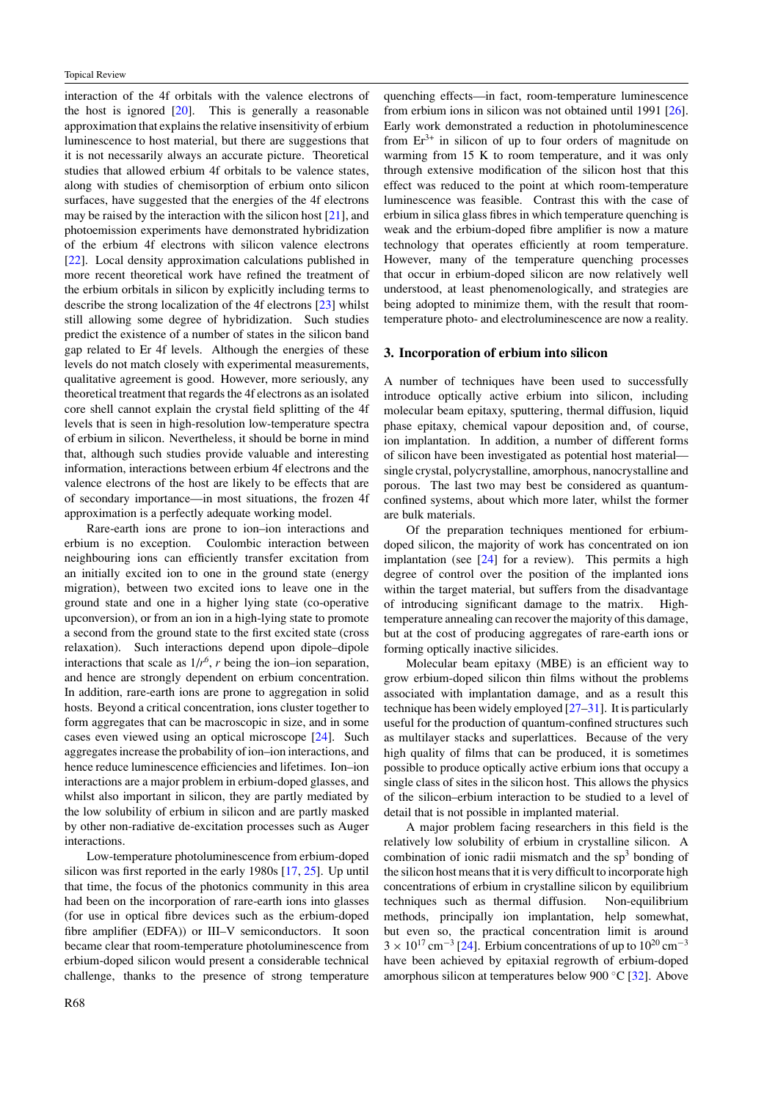interaction of the 4f orbitals with the valence electrons of the host is ignored [\[20\]](#page-17-0). This is generally a reasonable approximation that explains the relative insensitivity of erbium luminescence to host material, but there are suggestions that it is not necessarily always an accurate picture. Theoretical studies that allowed erbium 4f orbitals to be valence states, along with studies of chemisorption of erbium onto silicon surfaces, have suggested that the energies of the 4f electrons may be raised by the interaction with the silicon host  $[21]$ , and photoemission experiments have demonstrated hybridization of the erbium 4f electrons with silicon valence electrons [\[22\]](#page-17-0). Local density approximation calculations published in more recent theoretical work have refined the treatment of the erbium orbitals in silicon by explicitly including terms to describe the strong localization of the 4f electrons [\[23\]](#page-17-0) whilst still allowing some degree of hybridization. Such studies predict the existence of a number of states in the silicon band gap related to Er 4f levels. Although the energies of these levels do not match closely with experimental measurements, qualitative agreement is good. However, more seriously, any theoretical treatment that regards the 4f electrons as an isolated core shell cannot explain the crystal field splitting of the 4f levels that is seen in high-resolution low-temperature spectra of erbium in silicon. Nevertheless, it should be borne in mind that, although such studies provide valuable and interesting information, interactions between erbium 4f electrons and the valence electrons of the host are likely to be effects that are of secondary importance—in most situations, the frozen 4f approximation is a perfectly adequate working model.

Rare-earth ions are prone to ion–ion interactions and erbium is no exception. Coulombic interaction between neighbouring ions can efficiently transfer excitation from an initially excited ion to one in the ground state (energy migration), between two excited ions to leave one in the ground state and one in a higher lying state (co-operative upconversion), or from an ion in a high-lying state to promote a second from the ground state to the first excited state (cross relaxation). Such interactions depend upon dipole–dipole interactions that scale as  $1/r^6$ , *r* being the ion–ion separation, and hence are strongly dependent on erbium concentration. In addition, rare-earth ions are prone to aggregation in solid hosts. Beyond a critical concentration, ions cluster together to form aggregates that can be macroscopic in size, and in some cases even viewed using an optical microscope [\[24\]](#page-17-0). Such aggregates increase the probability of ion–ion interactions, and hence reduce luminescence efficiencies and lifetimes. Ion–ion interactions are a major problem in erbium-doped glasses, and whilst also important in silicon, they are partly mediated by the low solubility of erbium in silicon and are partly masked by other non-radiative de-excitation processes such as Auger interactions.

Low-temperature photoluminescence from erbium-doped silicon was first reported in the early 1980s [\[17,](#page-17-0) [25\]](#page-17-0). Up until that time, the focus of the photonics community in this area had been on the incorporation of rare-earth ions into glasses (for use in optical fibre devices such as the erbium-doped fibre amplifier (EDFA)) or III–V semiconductors. It soon became clear that room-temperature photoluminescence from erbium-doped silicon would present a considerable technical challenge, thanks to the presence of strong temperature

quenching effects—in fact, room-temperature luminescence from erbium ions in silicon was not obtained until 1991 [\[26](#page-17-0)]. Early work demonstrated a reduction in photoluminescence from  $Er^{3+}$  in silicon of up to four orders of magnitude on warming from 15 K to room temperature, and it was only through extensive modification of the silicon host that this effect was reduced to the point at which room-temperature luminescence was feasible. Contrast this with the case of erbium in silica glass fibres in which temperature quenching is weak and the erbium-doped fibre amplifier is now a mature technology that operates efficiently at room temperature. However, many of the temperature quenching processes that occur in erbium-doped silicon are now relatively well understood, at least phenomenologically, and strategies are being adopted to minimize them, with the result that roomtemperature photo- and electroluminescence are now a reality.

#### **3. Incorporation of erbium into silicon**

A number of techniques have been used to successfully introduce optically active erbium into silicon, including molecular beam epitaxy, sputtering, thermal diffusion, liquid phase epitaxy, chemical vapour deposition and, of course, ion implantation. In addition, a number of different forms of silicon have been investigated as potential host material single crystal, polycrystalline, amorphous, nanocrystalline and porous. The last two may best be considered as quantumconfined systems, about which more later, whilst the former are bulk materials.

Of the preparation techniques mentioned for erbiumdoped silicon, the majority of work has concentrated on ion implantation (see [\[24\]](#page-17-0) for a review). This permits a high degree of control over the position of the implanted ions within the target material, but suffers from the disadvantage of introducing significant damage to the matrix. Hightemperature annealing can recover the majority of this damage, but at the cost of producing aggregates of rare-earth ions or forming optically inactive silicides.

Molecular beam epitaxy (MBE) is an efficient way to grow erbium-doped silicon thin films without the problems associated with implantation damage, and as a result this technique has been widely employed  $[27-31]$ . It is particularly useful for the production of quantum-confined structures such as multilayer stacks and superlattices. Because of the very high quality of films that can be produced, it is sometimes possible to produce optically active erbium ions that occupy a single class of sites in the silicon host. This allows the physics of the silicon–erbium interaction to be studied to a level of detail that is not possible in implanted material.

A major problem facing researchers in this field is the relatively low solubility of erbium in crystalline silicon. A combination of ionic radii mismatch and the  $sp<sup>3</sup>$  bonding of the silicon host means that it is very difficult to incorporate high concentrations of erbium in crystalline silicon by equilibrium techniques such as thermal diffusion. Non-equilibrium methods, principally ion implantation, help somewhat, but even so, the practical concentration limit is around  $3 \times 10^{17}$  cm<sup>-3</sup> [\[24](#page-17-0)]. Erbium concentrations of up to  $10^{20}$  cm<sup>-3</sup> have been achieved by epitaxial regrowth of erbium-doped amorphous silicon at temperatures below 900 ◦C [\[32\]](#page-17-0). Above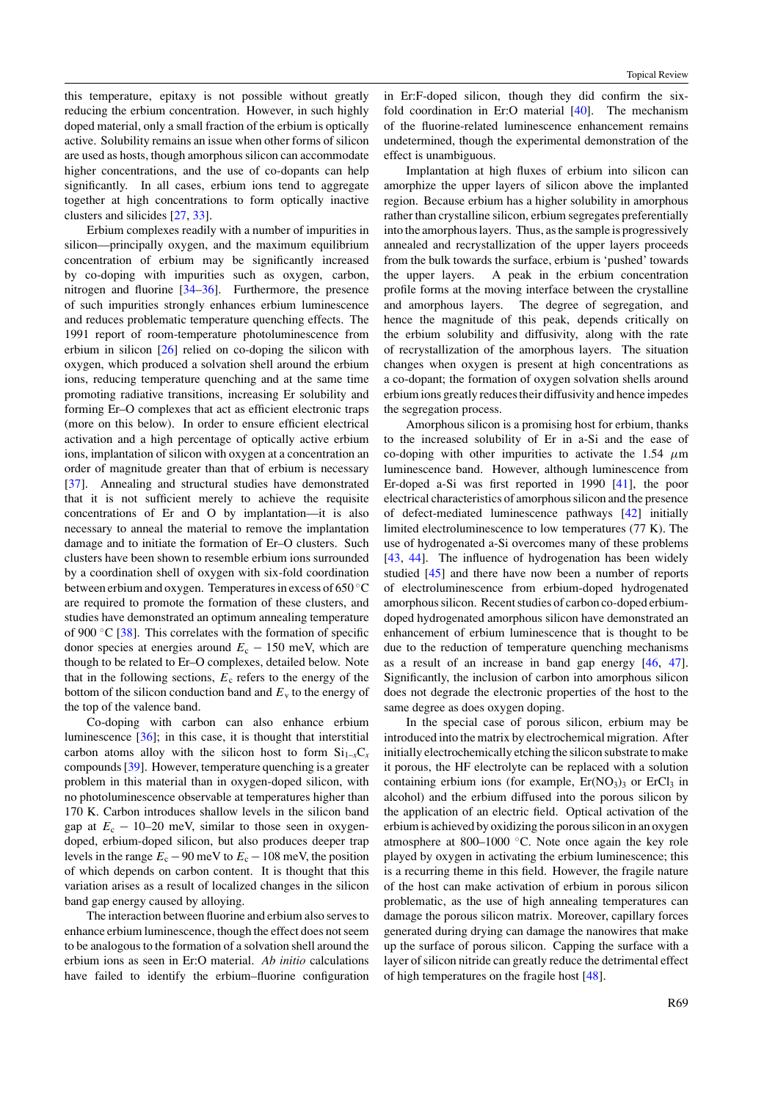this temperature, epitaxy is not possible without greatly reducing the erbium concentration. However, in such highly doped material, only a small fraction of the erbium is optically active. Solubility remains an issue when other forms of silicon are used as hosts, though amorphous silicon can accommodate higher concentrations, and the use of co-dopants can help significantly. In all cases, erbium ions tend to aggregate together at high concentrations to form optically inactive clusters and silicides [\[27,](#page-17-0) [33\]](#page-17-0).

Erbium complexes readily with a number of impurities in silicon—principally oxygen, and the maximum equilibrium concentration of erbium may be significantly increased by co-doping with impurities such as oxygen, carbon, nitrogen and fluorine [\[34–36\]](#page-17-0). Furthermore, the presence of such impurities strongly enhances erbium luminescence and reduces problematic temperature quenching effects. The 1991 report of room-temperature photoluminescence from erbium in silicon [\[26\]](#page-17-0) relied on co-doping the silicon with oxygen, which produced a solvation shell around the erbium ions, reducing temperature quenching and at the same time promoting radiative transitions, increasing Er solubility and forming Er–O complexes that act as efficient electronic traps (more on this below). In order to ensure efficient electrical activation and a high percentage of optically active erbium ions, implantation of silicon with oxygen at a concentration an order of magnitude greater than that of erbium is necessary [\[37\]](#page-17-0). Annealing and structural studies have demonstrated that it is not sufficient merely to achieve the requisite concentrations of Er and O by implantation—it is also necessary to anneal the material to remove the implantation damage and to initiate the formation of Er–O clusters. Such clusters have been shown to resemble erbium ions surrounded by a coordination shell of oxygen with six-fold coordination between erbium and oxygen. Temperatures in excess of 650 ◦C are required to promote the formation of these clusters, and studies have demonstrated an optimum annealing temperature of 900  $\degree$ C [\[38\]](#page-18-0). This correlates with the formation of specific donor species at energies around *E*<sup>c</sup> − 150 meV, which are though to be related to Er–O complexes, detailed below. Note that in the following sections,  $E_c$  refers to the energy of the bottom of the silicon conduction band and  $E<sub>v</sub>$  to the energy of the top of the valence band.

Co-doping with carbon can also enhance erbium luminescence [\[36\]](#page-17-0); in this case, it is thought that interstitial carbon atoms alloy with the silicon host to form  $Si_{1-x}C_x$ compounds [\[39](#page-18-0)]. However, temperature quenching is a greater problem in this material than in oxygen-doped silicon, with no photoluminescence observable at temperatures higher than 170 K. Carbon introduces shallow levels in the silicon band gap at  $E_c - 10-20$  meV, similar to those seen in oxygendoped, erbium-doped silicon, but also produces deeper trap levels in the range  $E_c - 90$  meV to  $E_c - 108$  meV, the position of which depends on carbon content. It is thought that this variation arises as a result of localized changes in the silicon band gap energy caused by alloying.

The interaction between fluorine and erbium also serves to enhance erbium luminescence, though the effect does not seem to be analogous to the formation of a solvation shell around the erbium ions as seen in Er:O material. *Ab initio* calculations have failed to identify the erbium–fluorine configuration

in Er:F-doped silicon, though they did confirm the sixfold coordination in Er:O material [\[40\]](#page-18-0). The mechanism of the fluorine-related luminescence enhancement remains undetermined, though the experimental demonstration of the effect is unambiguous.

Implantation at high fluxes of erbium into silicon can amorphize the upper layers of silicon above the implanted region. Because erbium has a higher solubility in amorphous rather than crystalline silicon, erbium segregates preferentially into the amorphous layers. Thus, as the sample is progressively annealed and recrystallization of the upper layers proceeds from the bulk towards the surface, erbium is 'pushed' towards the upper layers. A peak in the erbium concentration profile forms at the moving interface between the crystalline and amorphous layers. The degree of segregation, and hence the magnitude of this peak, depends critically on the erbium solubility and diffusivity, along with the rate of recrystallization of the amorphous layers. The situation changes when oxygen is present at high concentrations as a co-dopant; the formation of oxygen solvation shells around erbium ions greatly reduces their diffusivity and hence impedes the segregation process.

Amorphous silicon is a promising host for erbium, thanks to the increased solubility of Er in a-Si and the ease of co-doping with other impurities to activate the 1.54  $\mu$ m luminescence band. However, although luminescence from Er-doped a-Si was first reported in 1990 [\[41\]](#page-18-0), the poor electrical characteristics of amorphous silicon and the presence of defect-mediated luminescence pathways [\[42\]](#page-18-0) initially limited electroluminescence to low temperatures (77 K). The use of hydrogenated a-Si overcomes many of these problems [\[43](#page-18-0), [44](#page-18-0)]. The influence of hydrogenation has been widely studied [\[45](#page-18-0)] and there have now been a number of reports of electroluminescence from erbium-doped hydrogenated amorphous silicon. Recent studies of carbon co-doped erbiumdoped hydrogenated amorphous silicon have demonstrated an enhancement of erbium luminescence that is thought to be due to the reduction of temperature quenching mechanisms as a result of an increase in band gap energy [\[46](#page-18-0), [47](#page-18-0)]. Significantly, the inclusion of carbon into amorphous silicon does not degrade the electronic properties of the host to the same degree as does oxygen doping.

In the special case of porous silicon, erbium may be introduced into the matrix by electrochemical migration. After initially electrochemically etching the silicon substrate to make it porous, the HF electrolyte can be replaced with a solution containing erbium ions (for example,  $Er(NO<sub>3</sub>)<sub>3</sub>$  or  $ErCl<sub>3</sub>$  in alcohol) and the erbium diffused into the porous silicon by the application of an electric field. Optical activation of the erbium is achieved by oxidizing the porous silicon in an oxygen atmosphere at 800–1000 ◦C. Note once again the key role played by oxygen in activating the erbium luminescence; this is a recurring theme in this field. However, the fragile nature of the host can make activation of erbium in porous silicon problematic, as the use of high annealing temperatures can damage the porous silicon matrix. Moreover, capillary forces generated during drying can damage the nanowires that make up the surface of porous silicon. Capping the surface with a layer of silicon nitride can greatly reduce the detrimental effect of high temperatures on the fragile host [\[48\]](#page-18-0).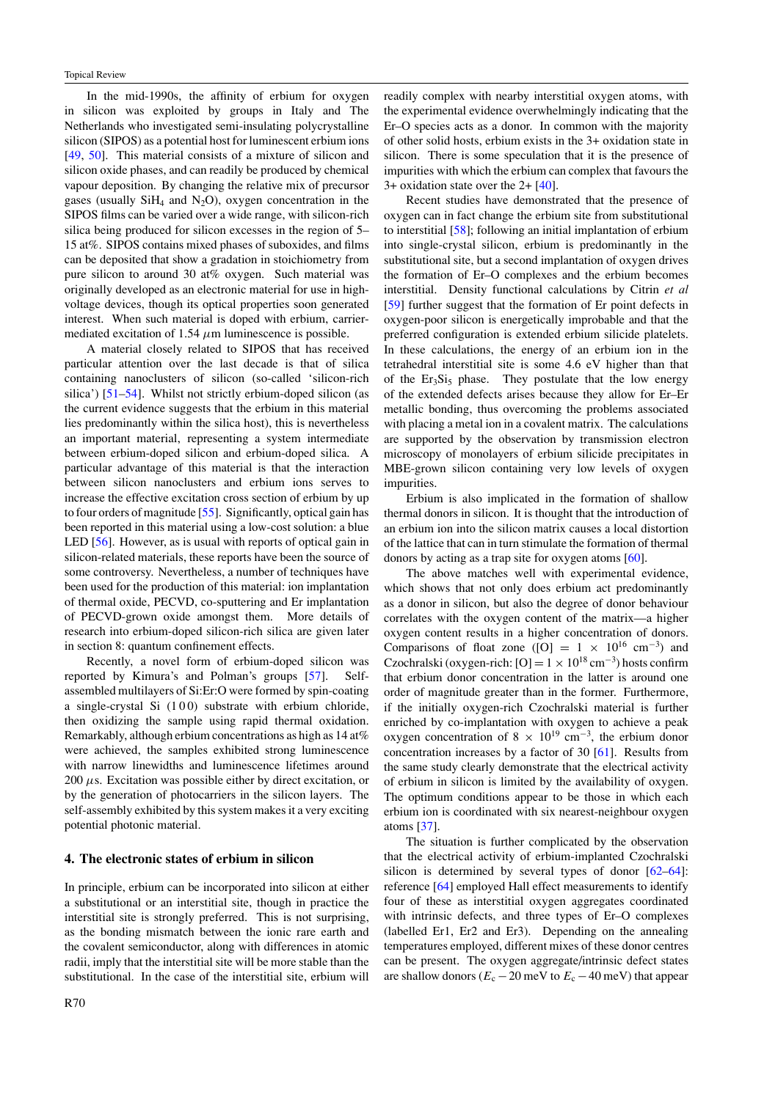In the mid-1990s, the affinity of erbium for oxygen in silicon was exploited by groups in Italy and The Netherlands who investigated semi-insulating polycrystalline silicon (SIPOS) as a potential host for luminescent erbium ions [\[49,](#page-18-0) [50](#page-18-0)]. This material consists of a mixture of silicon and silicon oxide phases, and can readily be produced by chemical vapour deposition. By changing the relative mix of precursor gases (usually  $SiH_4$  and  $N_2O$ ), oxygen concentration in the SIPOS films can be varied over a wide range, with silicon-rich silica being produced for silicon excesses in the region of 5– 15 at%. SIPOS contains mixed phases of suboxides, and films can be deposited that show a gradation in stoichiometry from pure silicon to around 30 at% oxygen. Such material was originally developed as an electronic material for use in highvoltage devices, though its optical properties soon generated interest. When such material is doped with erbium, carriermediated excitation of 1.54  $\mu$ m luminescence is possible.

A material closely related to SIPOS that has received particular attention over the last decade is that of silica containing nanoclusters of silicon (so-called 'silicon-rich silica') [\[51–54](#page-18-0)]. Whilst not strictly erbium-doped silicon (as the current evidence suggests that the erbium in this material lies predominantly within the silica host), this is nevertheless an important material, representing a system intermediate between erbium-doped silicon and erbium-doped silica. A particular advantage of this material is that the interaction between silicon nanoclusters and erbium ions serves to increase the effective excitation cross section of erbium by up to four orders of magnitude [\[55](#page-18-0)]. Significantly, optical gain has been reported in this material using a low-cost solution: a blue LED [\[56\]](#page-18-0). However, as is usual with reports of optical gain in silicon-related materials, these reports have been the source of some controversy. Nevertheless, a number of techniques have been used for the production of this material: ion implantation of thermal oxide, PECVD, co-sputtering and Er implantation of PECVD-grown oxide amongst them. More details of research into erbium-doped silicon-rich silica are given later in section 8: quantum confinement effects.

Recently, a novel form of erbium-doped silicon was reported by Kimura's and Polman's groups [\[57\]](#page-18-0). Selfassembled multilayers of Si:Er:O were formed by spin-coating a single-crystal Si (100) substrate with erbium chloride, then oxidizing the sample using rapid thermal oxidation. Remarkably, although erbium concentrations as high as 14 at% were achieved, the samples exhibited strong luminescence with narrow linewidths and luminescence lifetimes around 200 *µ*s. Excitation was possible either by direct excitation, or by the generation of photocarriers in the silicon layers. The self-assembly exhibited by this system makes it a very exciting potential photonic material.

#### **4. The electronic states of erbium in silicon**

In principle, erbium can be incorporated into silicon at either a substitutional or an interstitial site, though in practice the interstitial site is strongly preferred. This is not surprising, as the bonding mismatch between the ionic rare earth and the covalent semiconductor, along with differences in atomic radii, imply that the interstitial site will be more stable than the substitutional. In the case of the interstitial site, erbium will

Recent studies have demonstrated that the presence of oxygen can in fact change the erbium site from substitutional to interstitial [\[58\]](#page-18-0); following an initial implantation of erbium into single-crystal silicon, erbium is predominantly in the substitutional site, but a second implantation of oxygen drives the formation of Er–O complexes and the erbium becomes interstitial. Density functional calculations by Citrin *et al* [\[59](#page-18-0)] further suggest that the formation of Er point defects in oxygen-poor silicon is energetically improbable and that the preferred configuration is extended erbium silicide platelets. In these calculations, the energy of an erbium ion in the tetrahedral interstitial site is some 4.6 eV higher than that of the  $Er_3Si_5$  phase. They postulate that the low energy of the extended defects arises because they allow for Er–Er metallic bonding, thus overcoming the problems associated with placing a metal ion in a covalent matrix. The calculations are supported by the observation by transmission electron microscopy of monolayers of erbium silicide precipitates in MBE-grown silicon containing very low levels of oxygen impurities.

Erbium is also implicated in the formation of shallow thermal donors in silicon. It is thought that the introduction of an erbium ion into the silicon matrix causes a local distortion of the lattice that can in turn stimulate the formation of thermal donors by acting as a trap site for oxygen atoms [\[60\]](#page-18-0).

The above matches well with experimental evidence, which shows that not only does erbium act predominantly as a donor in silicon, but also the degree of donor behaviour correlates with the oxygen content of the matrix—a higher oxygen content results in a higher concentration of donors. Comparisons of float zone ([O] =  $1 \times 10^{16}$  cm<sup>-3</sup>) and Czochralski (oxygen-rich: [O] =  $1 \times 10^{18}$  cm<sup>-3</sup>) hosts confirm that erbium donor concentration in the latter is around one order of magnitude greater than in the former. Furthermore, if the initially oxygen-rich Czochralski material is further enriched by co-implantation with oxygen to achieve a peak oxygen concentration of  $8 \times 10^{19}$  cm<sup>-3</sup>, the erbium donor concentration increases by a factor of 30 [\[61](#page-18-0)]. Results from the same study clearly demonstrate that the electrical activity of erbium in silicon is limited by the availability of oxygen. The optimum conditions appear to be those in which each erbium ion is coordinated with six nearest-neighbour oxygen atoms [\[37](#page-17-0)].

The situation is further complicated by the observation that the electrical activity of erbium-implanted Czochralski silicon is determined by several types of donor [\[62–64\]](#page-18-0): reference [\[64\]](#page-18-0) employed Hall effect measurements to identify four of these as interstitial oxygen aggregates coordinated with intrinsic defects, and three types of Er–O complexes (labelled Er1, Er2 and Er3). Depending on the annealing temperatures employed, different mixes of these donor centres can be present. The oxygen aggregate/intrinsic defect states are shallow donors  $(E_c - 20 \text{ meV}$  to  $E_c - 40 \text{ meV})$  that appear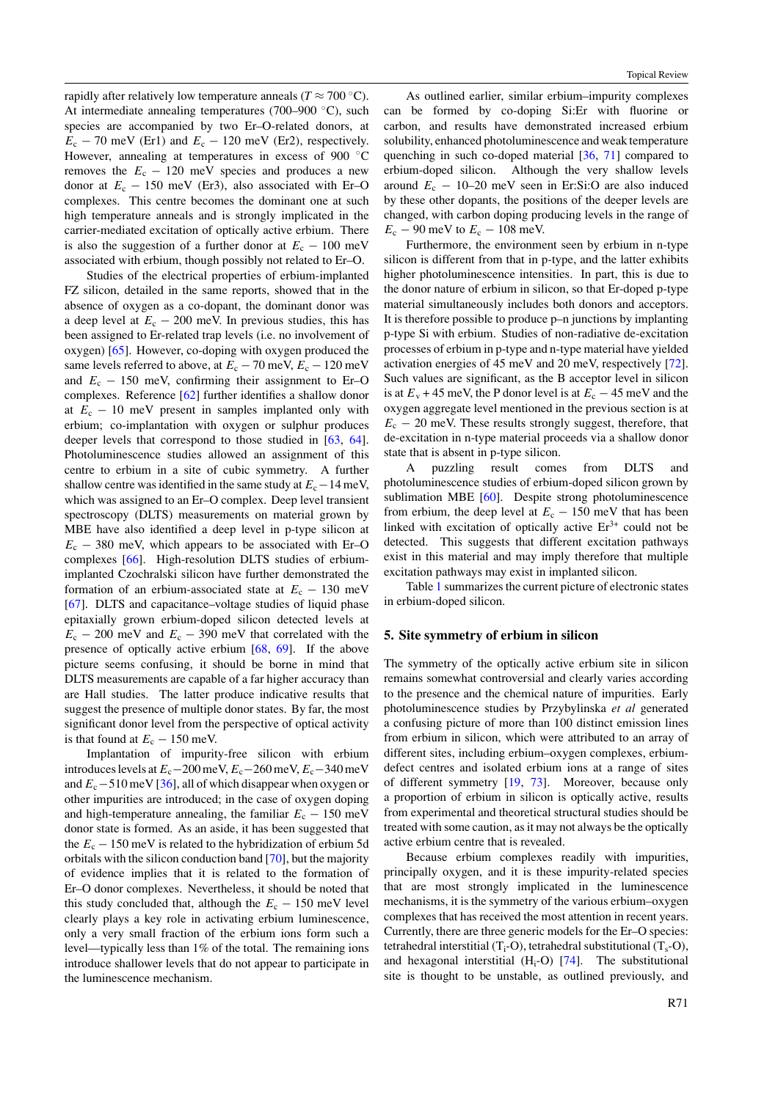rapidly after relatively low temperature anneals ( $T \approx 700$  °C). At intermediate annealing temperatures (700–900 ◦C), such species are accompanied by two Er–O-related donors, at  $E_c - 70$  meV (Er1) and  $E_c - 120$  meV (Er2), respectively. However, annealing at temperatures in excess of 900 ◦C removes the  $E_c - 120$  meV species and produces a new donor at  $E_c - 150$  meV (Er3), also associated with Er–O complexes. This centre becomes the dominant one at such high temperature anneals and is strongly implicated in the carrier-mediated excitation of optically active erbium. There is also the suggestion of a further donor at  $E_c - 100$  meV associated with erbium, though possibly not related to Er–O.

Studies of the electrical properties of erbium-implanted FZ silicon, detailed in the same reports, showed that in the absence of oxygen as a co-dopant, the dominant donor was a deep level at  $E_c - 200$  meV. In previous studies, this has been assigned to Er-related trap levels (i.e. no involvement of oxygen) [\[65](#page-18-0)]. However, co-doping with oxygen produced the same levels referred to above, at  $E_c - 70$  meV,  $E_c - 120$  meV and  $E_c - 150$  meV, confirming their assignment to Er–O complexes. Reference [\[62\]](#page-18-0) further identifies a shallow donor at  $E_c - 10$  meV present in samples implanted only with erbium; co-implantation with oxygen or sulphur produces deeper levels that correspond to those studied in [\[63](#page-18-0), [64\]](#page-18-0). Photoluminescence studies allowed an assignment of this centre to erbium in a site of cubic symmetry. A further shallow centre was identified in the same study at  $E_c - 14$  meV, which was assigned to an Er–O complex. Deep level transient spectroscopy (DLTS) measurements on material grown by MBE have also identified a deep level in p-type silicon at  $E_c$  − 380 meV, which appears to be associated with Er–O complexes [\[66](#page-18-0)]. High-resolution DLTS studies of erbiumimplanted Czochralski silicon have further demonstrated the formation of an erbium-associated state at  $E_c - 130$  meV [\[67\]](#page-18-0). DLTS and capacitance–voltage studies of liquid phase epitaxially grown erbium-doped silicon detected levels at  $E_c - 200$  meV and  $E_c - 390$  meV that correlated with the presence of optically active erbium [\[68,](#page-18-0) [69\]](#page-18-0). If the above picture seems confusing, it should be borne in mind that DLTS measurements are capable of a far higher accuracy than are Hall studies. The latter produce indicative results that suggest the presence of multiple donor states. By far, the most significant donor level from the perspective of optical activity is that found at  $E_c - 150$  meV.

Implantation of impurity-free silicon with erbium introduces levels at *E*c−200 meV, *E*c−260 meV, *E*c−340 meV and *E*c−510 meV [\[36\]](#page-17-0), all of which disappear when oxygen or other impurities are introduced; in the case of oxygen doping and high-temperature annealing, the familiar  $E_c - 150$  meV donor state is formed. As an aside, it has been suggested that the  $E_c - 150$  meV is related to the hybridization of erbium 5d orbitals with the silicon conduction band [\[70\]](#page-18-0), but the majority of evidence implies that it is related to the formation of Er–O donor complexes. Nevertheless, it should be noted that this study concluded that, although the  $E_c - 150$  meV level clearly plays a key role in activating erbium luminescence, only a very small fraction of the erbium ions form such a level—typically less than 1% of the total. The remaining ions introduce shallower levels that do not appear to participate in the luminescence mechanism.

As outlined earlier, similar erbium–impurity complexes can be formed by co-doping Si:Er with fluorine or carbon, and results have demonstrated increased erbium solubility, enhanced photoluminescence and weak temperature quenching in such co-doped material [\[36](#page-17-0), [71](#page-18-0)] compared to erbium-doped silicon. Although the very shallow levels around  $E_c - 10-20$  meV seen in Er:Si:O are also induced by these other dopants, the positions of the deeper levels are changed, with carbon doping producing levels in the range of  $E_c - 90$  meV to  $E_c - 108$  meV.

Furthermore, the environment seen by erbium in n-type silicon is different from that in p-type, and the latter exhibits higher photoluminescence intensities. In part, this is due to the donor nature of erbium in silicon, so that Er-doped p-type material simultaneously includes both donors and acceptors. It is therefore possible to produce p–n junctions by implanting p-type Si with erbium. Studies of non-radiative de-excitation processes of erbium in p-type and n-type material have yielded activation energies of 45 meV and 20 meV, respectively [\[72](#page-18-0)]. Such values are significant, as the B acceptor level in silicon is at  $E_v$  + 45 meV, the P donor level is at  $E_c$  – 45 meV and the oxygen aggregate level mentioned in the previous section is at  $E_c$  − 20 meV. These results strongly suggest, therefore, that de-excitation in n-type material proceeds via a shallow donor state that is absent in p-type silicon.

A puzzling result comes from DLTS and photoluminescence studies of erbium-doped silicon grown by sublimation MBE [\[60](#page-18-0)]. Despite strong photoluminescence from erbium, the deep level at  $E_c - 150$  meV that has been linked with excitation of optically active  $Er<sup>3+</sup>$  could not be detected. This suggests that different excitation pathways exist in this material and may imply therefore that multiple excitation pathways may exist in implanted silicon.

Table [1](#page-7-0) summarizes the current picture of electronic states in erbium-doped silicon.

## **5. Site symmetry of erbium in silicon**

The symmetry of the optically active erbium site in silicon remains somewhat controversial and clearly varies according to the presence and the chemical nature of impurities. Early photoluminescence studies by Przybylinska *et al* generated a confusing picture of more than 100 distinct emission lines from erbium in silicon, which were attributed to an array of different sites, including erbium–oxygen complexes, erbiumdefect centres and isolated erbium ions at a range of sites of different symmetry [\[19](#page-17-0), [73](#page-18-0)]. Moreover, because only a proportion of erbium in silicon is optically active, results from experimental and theoretical structural studies should be treated with some caution, as it may not always be the optically active erbium centre that is revealed.

Because erbium complexes readily with impurities, principally oxygen, and it is these impurity-related species that are most strongly implicated in the luminescence mechanisms, it is the symmetry of the various erbium–oxygen complexes that has received the most attention in recent years. Currently, there are three generic models for the Er–O species: tetrahedral interstitial  $(T_i-O)$ , tetrahedral substitutional  $(T_s-O)$ , and hexagonal interstitial  $(H_i-O)$   $[74]$ . The substitutional site is thought to be unstable, as outlined previously, and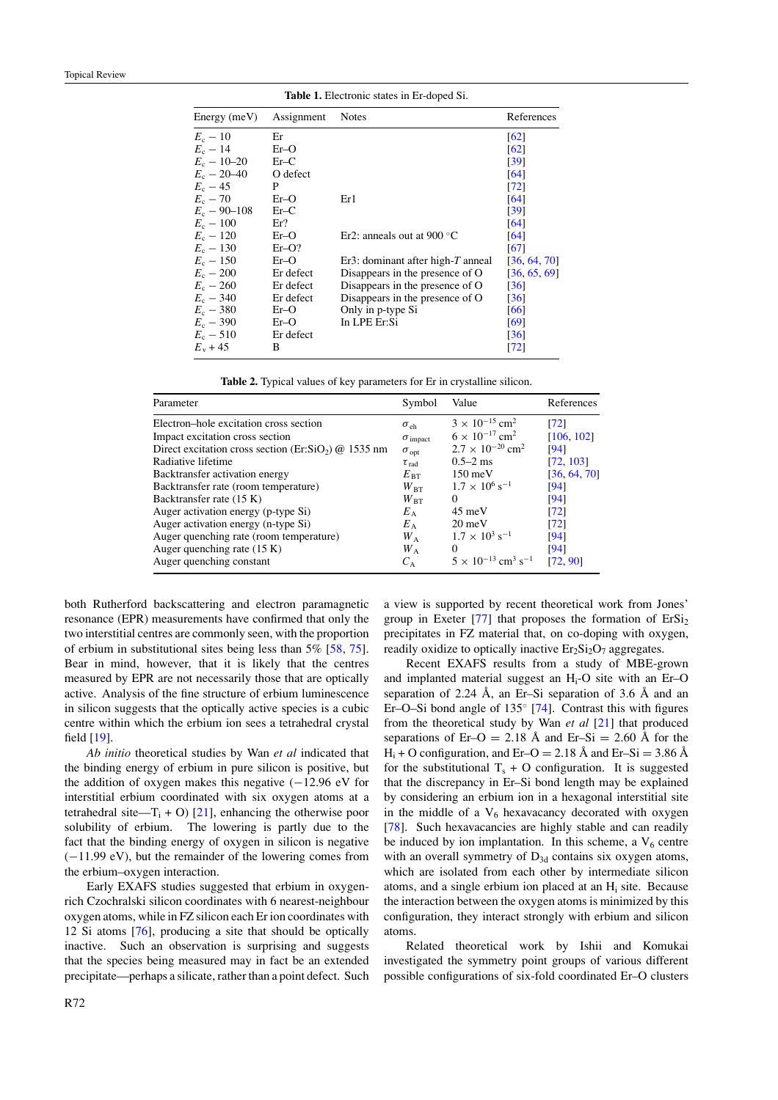**Table 1.** Electronic states in Er-doped Si.

<span id="page-7-0"></span>

| Energy $(meV)$   | Assignment | <b>Notes</b>                        | References         |
|------------------|------------|-------------------------------------|--------------------|
| $E_c - 10$       | Er         |                                     | $\lceil 62 \rceil$ |
| $E_c - 14$       | $Er-O$     |                                     | $\lceil 62 \rceil$ |
| $E_c - 10 - 20$  | $Er-C$     |                                     | [39]               |
| $E_c - 20 - 40$  | O defect   |                                     | [64]               |
| $E_c - 45$       | P          |                                     | $\lceil 72 \rceil$ |
| $E_c - 70$       | $Er-O$     | Er1                                 | [64]               |
| $E_c - 90 - 108$ | $Er-C$     |                                     | [39]               |
| $E_c - 100$      | Er?        |                                     | [64]               |
| $E_c - 120$      | $Er-O$     | Er2: anneals out at 900 $\degree$ C | [64]               |
| $E_c - 130$      | $Er-O?$    |                                     | [67]               |
| $E_c - 150$      | $Er-O$     | $Er3: dominant after high-T anneal$ | [36, 64, 70]       |
| $E_c - 200$      | Er defect  | Disappears in the presence of O     | [36, 65, 69]       |
| $E_c - 260$      | Er defect  | Disappears in the presence of O     | [36]               |
| $E_c - 340$      | Er defect  | Disappears in the presence of O     | [36]               |
| $E_c - 380$      | $Er-O$     | Only in p-type Si                   | [66]               |
| $E_c - 390$      | $Er-O$     | In LPE Er:Si                        | [69]               |
| $E_c - 510$      | Er defect  |                                     | [36]               |
| $E_{v}$ + 45     | В          |                                     | [72]               |

**Table 2.** Typical values of key parameters for Er in crystalline silicon.

| Parameter                                                        | Symbol             | Value                                               | References         |
|------------------------------------------------------------------|--------------------|-----------------------------------------------------|--------------------|
| Electron-hole excitation cross section                           | $\sigma_{eh}$      | $3 \times 10^{-15}$ cm <sup>2</sup>                 | $\lceil 72 \rceil$ |
| Impact excitation cross section                                  | $\sigma$ impact    | $6 \times 10^{-17}$ cm <sup>2</sup>                 | [106, 102]         |
| Direct excitation cross section (Er:SiO <sub>2</sub> ) @ 1535 nm | $\sigma_{\rm opt}$ | $2.7 \times 10^{-20}$ cm <sup>2</sup>               | [94]               |
| Radiative lifetime                                               | $\tau_{\rm rad}$   | $0.5 - 2$ ms                                        | [72, 103]          |
| Backtransfer activation energy                                   | $E_{\rm BT}$       | $150 \text{ meV}$                                   | [36, 64, 70]       |
| Backtransfer rate (room temperature)                             | $W_{\rm BT}$       | $1.7 \times 10^6$ s <sup>-1</sup>                   | [94]               |
| Backtransfer rate (15 K)                                         | $W_{\rm BT}$       | $\Omega$                                            | [94]               |
| Auger activation energy (p-type Si)                              | $E_A$              | $45 \text{ meV}$                                    | [72]               |
| Auger activation energy (n-type Si)                              | $E_A$              | $20 \text{ meV}$                                    | $\lceil 72 \rceil$ |
| Auger quenching rate (room temperature)                          | $W_A$              | $1.7 \times 10^3$ s <sup>-1</sup>                   | [94]               |
| Auger quenching rate $(15 K)$                                    | $W_A$              | $\Omega$                                            | [94]               |
| Auger quenching constant                                         | $C_{\rm A}$        | $5 \times 10^{-13}$ cm <sup>3</sup> s <sup>-1</sup> | [72, 90]           |

both Rutherford backscattering and electron paramagnetic resonance (EPR) measurements have confirmed that only the two interstitial centres are commonly seen, with the proportion of erbium in substitutional sites being less than 5% [\[58,](#page-18-0) [75\]](#page-18-0). Bear in mind, however, that it is likely that the centres measured by EPR are not necessarily those that are optically active. Analysis of the fine structure of erbium luminescence in silicon suggests that the optically active species is a cubic centre within which the erbium ion sees a tetrahedral crystal field [\[19](#page-17-0)].

*Ab initio* theoretical studies by Wan *et al* indicated that the binding energy of erbium in pure silicon is positive, but the addition of oxygen makes this negative (−12.96 eV for interstitial erbium coordinated with six oxygen atoms at a tetrahedral site—T<sub>i</sub> + O) [\[21\]](#page-17-0), enhancing the otherwise poor solubility of erbium. The lowering is partly due to the fact that the binding energy of oxygen in silicon is negative (−11.99 eV), but the remainder of the lowering comes from the erbium–oxygen interaction.

Early EXAFS studies suggested that erbium in oxygenrich Czochralski silicon coordinates with 6 nearest-neighbour oxygen atoms, while in FZ silicon each Er ion coordinates with 12 Si atoms [\[76](#page-18-0)], producing a site that should be optically inactive. Such an observation is surprising and suggests that the species being measured may in fact be an extended precipitate—perhaps a silicate, rather than a point defect. Such

a view is supported by recent theoretical work from Jones' group in Exeter  $[77]$  $[77]$  that proposes the formation of  $Ersi<sub>2</sub>$ precipitates in FZ material that, on co-doping with oxygen, readily oxidize to optically inactive  $Er_2Si_2O_7$  aggregates.

Recent EXAFS results from a study of MBE-grown and implanted material suggest an  $H_i$ -O site with an Er–O separation of 2.24 Å, an Er–Si separation of 3.6 Å and an Er–O–Si bond angle of  $135^\circ$  [\[74\]](#page-18-0). Contrast this with figures from the theoretical study by Wan *et al* [\[21\]](#page-17-0) that produced separations of Er–O = 2.18 Å and Er–Si = 2.60 Å for the  $H<sub>i</sub> + O$  configuration, and Er–O = 2.18 Å and Er–Si = 3.86 Å for the substitutional  $T_s + O$  configuration. It is suggested that the discrepancy in Er–Si bond length may be explained by considering an erbium ion in a hexagonal interstitial site in the middle of a  $V_6$  hexavacancy decorated with oxygen [\[78](#page-18-0)]. Such hexavacancies are highly stable and can readily be induced by ion implantation. In this scheme, a  $V_6$  centre with an overall symmetry of  $D_{3d}$  contains six oxygen atoms, which are isolated from each other by intermediate silicon atoms, and a single erbium ion placed at an  $H_i$  site. Because the interaction between the oxygen atoms is minimized by this configuration, they interact strongly with erbium and silicon atoms.

Related theoretical work by Ishii and Komukai investigated the symmetry point groups of various different possible configurations of six-fold coordinated Er–O clusters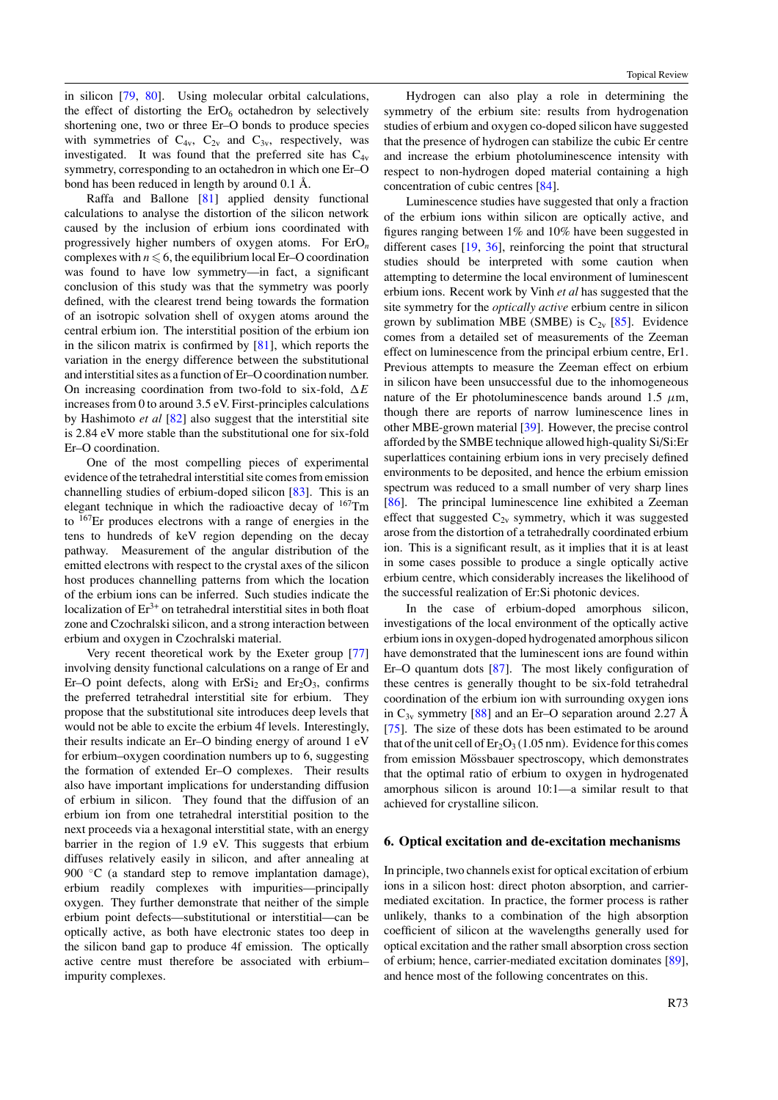in silicon [\[79,](#page-18-0) [80](#page-18-0)]. Using molecular orbital calculations, the effect of distorting the  $E\text{rO}_6$  octahedron by selectively shortening one, two or three Er–O bonds to produce species with symmetries of  $C_{4v}$ ,  $C_{2v}$  and  $C_{3v}$ , respectively, was investigated. It was found that the preferred site has  $C_{4v}$ symmetry, corresponding to an octahedron in which one Er–O bond has been reduced in length by around  $0.1 \text{ Å}$ .

Raffa and Ballone [\[81](#page-18-0)] applied density functional calculations to analyse the distortion of the silicon network caused by the inclusion of erbium ions coordinated with progressively higher numbers of oxygen atoms. For ErO*<sup>n</sup>* complexes with  $n \le 6$ , the equilibrium local Er–O coordination was found to have low symmetry—in fact, a significant conclusion of this study was that the symmetry was poorly defined, with the clearest trend being towards the formation of an isotropic solvation shell of oxygen atoms around the central erbium ion. The interstitial position of the erbium ion in the silicon matrix is confirmed by  $[81]$  $[81]$ , which reports the variation in the energy difference between the substitutional and interstitial sites as a function of Er–O coordination number. On increasing coordination from two-fold to six-fold,  $\Delta E$ increases from 0 to around 3.5 eV. First-principles calculations by Hashimoto *et al* [\[82\]](#page-18-0) also suggest that the interstitial site is 2.84 eV more stable than the substitutional one for six-fold Er–O coordination.

One of the most compelling pieces of experimental evidence of the tetrahedral interstitial site comes from emission channelling studies of erbium-doped silicon [\[83](#page-18-0)]. This is an elegant technique in which the radioactive decay of  $167$ Tm to 167Er produces electrons with a range of energies in the tens to hundreds of keV region depending on the decay pathway. Measurement of the angular distribution of the emitted electrons with respect to the crystal axes of the silicon host produces channelling patterns from which the location of the erbium ions can be inferred. Such studies indicate the localization of  $Er^{3+}$  on tetrahedral interstitial sites in both float zone and Czochralski silicon, and a strong interaction between erbium and oxygen in Czochralski material.

Very recent theoretical work by the Exeter group [\[77](#page-18-0)] involving density functional calculations on a range of Er and Er–O point defects, along with  $E r S i_2$  and  $E r_2 O_3$ , confirms the preferred tetrahedral interstitial site for erbium. They propose that the substitutional site introduces deep levels that would not be able to excite the erbium 4f levels. Interestingly, their results indicate an Er–O binding energy of around 1 eV for erbium–oxygen coordination numbers up to 6, suggesting the formation of extended Er–O complexes. Their results also have important implications for understanding diffusion of erbium in silicon. They found that the diffusion of an erbium ion from one tetrahedral interstitial position to the next proceeds via a hexagonal interstitial state, with an energy barrier in the region of 1.9 eV. This suggests that erbium diffuses relatively easily in silicon, and after annealing at 900  $°C$  (a standard step to remove implantation damage), erbium readily complexes with impurities—principally oxygen. They further demonstrate that neither of the simple erbium point defects—substitutional or interstitial—can be optically active, as both have electronic states too deep in the silicon band gap to produce 4f emission. The optically active centre must therefore be associated with erbium– impurity complexes.

Hydrogen can also play a role in determining the symmetry of the erbium site: results from hydrogenation studies of erbium and oxygen co-doped silicon have suggested that the presence of hydrogen can stabilize the cubic Er centre and increase the erbium photoluminescence intensity with respect to non-hydrogen doped material containing a high concentration of cubic centres [\[84](#page-18-0)].

Luminescence studies have suggested that only a fraction of the erbium ions within silicon are optically active, and figures ranging between 1% and 10% have been suggested in different cases [\[19](#page-17-0), [36\]](#page-17-0), reinforcing the point that structural studies should be interpreted with some caution when attempting to determine the local environment of luminescent erbium ions. Recent work by Vinh *et al* has suggested that the site symmetry for the *optically active* erbium centre in silicon grown by sublimation MBE (SMBE) is  $C_{2v}$  [\[85\]](#page-18-0). Evidence comes from a detailed set of measurements of the Zeeman effect on luminescence from the principal erbium centre, Er1. Previous attempts to measure the Zeeman effect on erbium in silicon have been unsuccessful due to the inhomogeneous nature of the Er photoluminescence bands around  $1.5 \mu m$ , though there are reports of narrow luminescence lines in other MBE-grown material [\[39](#page-18-0)]. However, the precise control afforded by the SMBE technique allowed high-quality Si/Si:Er superlattices containing erbium ions in very precisely defined environments to be deposited, and hence the erbium emission spectrum was reduced to a small number of very sharp lines [\[86](#page-18-0)]. The principal luminescence line exhibited a Zeeman effect that suggested  $C_{2v}$  symmetry, which it was suggested arose from the distortion of a tetrahedrally coordinated erbium ion. This is a significant result, as it implies that it is at least in some cases possible to produce a single optically active erbium centre, which considerably increases the likelihood of the successful realization of Er:Si photonic devices.

In the case of erbium-doped amorphous silicon, investigations of the local environment of the optically active erbium ions in oxygen-doped hydrogenated amorphous silicon have demonstrated that the luminescent ions are found within Er–O quantum dots [\[87](#page-18-0)]. The most likely configuration of these centres is generally thought to be six-fold tetrahedral coordination of the erbium ion with surrounding oxygen ions in  $C_{3v}$  symmetry [\[88\]](#page-18-0) and an Er–O separation around 2.27 Å [\[75](#page-18-0)]. The size of these dots has been estimated to be around that of the unit cell of  $Er_2O_3(1.05 \text{ nm})$ . Evidence for this comes from emission Mössbauer spectroscopy, which demonstrates that the optimal ratio of erbium to oxygen in hydrogenated amorphous silicon is around 10:1—a similar result to that achieved for crystalline silicon.

## **6. Optical excitation and de-excitation mechanisms**

In principle, two channels exist for optical excitation of erbium ions in a silicon host: direct photon absorption, and carriermediated excitation. In practice, the former process is rather unlikely, thanks to a combination of the high absorption coefficient of silicon at the wavelengths generally used for optical excitation and the rather small absorption cross section of erbium; hence, carrier-mediated excitation dominates [\[89](#page-18-0)], and hence most of the following concentrates on this.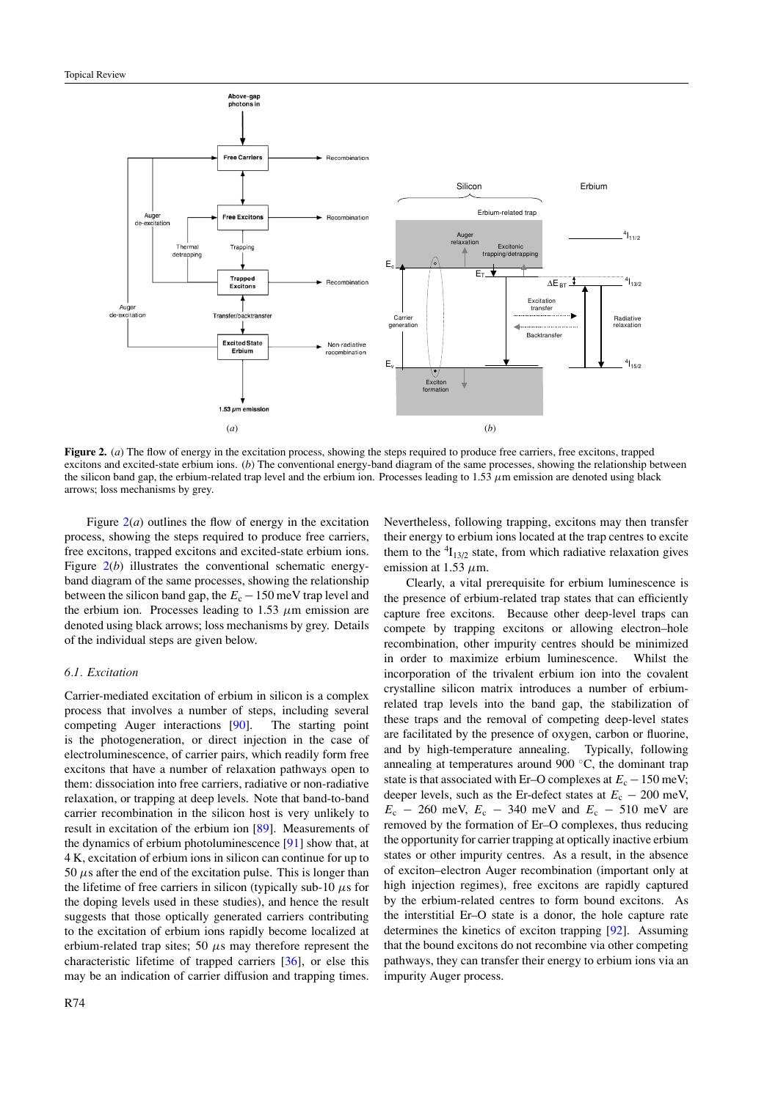

**Figure 2.** (*a*) The flow of energy in the excitation process, showing the steps required to produce free carriers, free excitons, trapped excitons and excited-state erbium ions. (*b*) The conventional energy-band diagram of the same processes, showing the relationship between the silicon band gap, the erbium-related trap level and the erbium ion. Processes leading to 1.53 *µ*m emission are denoted using black arrows; loss mechanisms by grey.

Figure  $2(a)$  outlines the flow of energy in the excitation process, showing the steps required to produce free carriers, free excitons, trapped excitons and excited-state erbium ions. Figure  $2(b)$  illustrates the conventional schematic energyband diagram of the same processes, showing the relationship between the silicon band gap, the  $E_c - 150$  meV trap level and the erbium ion. Processes leading to  $1.53 \mu$ m emission are denoted using black arrows; loss mechanisms by grey. Details of the individual steps are given below.

## *6.1. Excitation*

Carrier-mediated excitation of erbium in silicon is a complex process that involves a number of steps, including several competing Auger interactions [\[90\]](#page-18-0). The starting point is the photogeneration, or direct injection in the case of electroluminescence, of carrier pairs, which readily form free excitons that have a number of relaxation pathways open to them: dissociation into free carriers, radiative or non-radiative relaxation, or trapping at deep levels. Note that band-to-band carrier recombination in the silicon host is very unlikely to result in excitation of the erbium ion [\[89\]](#page-18-0). Measurements of the dynamics of erbium photoluminescence [\[91](#page-18-0)] show that, at 4 K, excitation of erbium ions in silicon can continue for up to  $50 \mu s$  after the end of the excitation pulse. This is longer than the lifetime of free carriers in silicon (typically sub-10  $\mu$ s for the doping levels used in these studies), and hence the result suggests that those optically generated carriers contributing to the excitation of erbium ions rapidly become localized at erbium-related trap sites; 50 *µ*s may therefore represent the characteristic lifetime of trapped carriers [\[36](#page-17-0)], or else this may be an indication of carrier diffusion and trapping times.

Nevertheless, following trapping, excitons may then transfer their energy to erbium ions located at the trap centres to excite them to the  ${}^{4}I_{13/2}$  state, from which radiative relaxation gives emission at  $1.53 \mu$ m.

Clearly, a vital prerequisite for erbium luminescence is the presence of erbium-related trap states that can efficiently capture free excitons. Because other deep-level traps can compete by trapping excitons or allowing electron–hole recombination, other impurity centres should be minimized in order to maximize erbium luminescence. Whilst the incorporation of the trivalent erbium ion into the covalent crystalline silicon matrix introduces a number of erbiumrelated trap levels into the band gap, the stabilization of these traps and the removal of competing deep-level states are facilitated by the presence of oxygen, carbon or fluorine, and by high-temperature annealing. Typically, following annealing at temperatures around 900 ◦C, the dominant trap state is that associated with Er–O complexes at  $E_c - 150$  meV; deeper levels, such as the Er-defect states at  $E_c - 200$  meV,  $E_c$  − 260 meV,  $E_c$  − 340 meV and  $E_c$  − 510 meV are removed by the formation of Er–O complexes, thus reducing the opportunity for carrier trapping at optically inactive erbium states or other impurity centres. As a result, in the absence of exciton–electron Auger recombination (important only at high injection regimes), free excitons are rapidly captured by the erbium-related centres to form bound excitons. As the interstitial Er–O state is a donor, the hole capture rate determines the kinetics of exciton trapping [\[92](#page-18-0)]. Assuming that the bound excitons do not recombine via other competing pathways, they can transfer their energy to erbium ions via an impurity Auger process.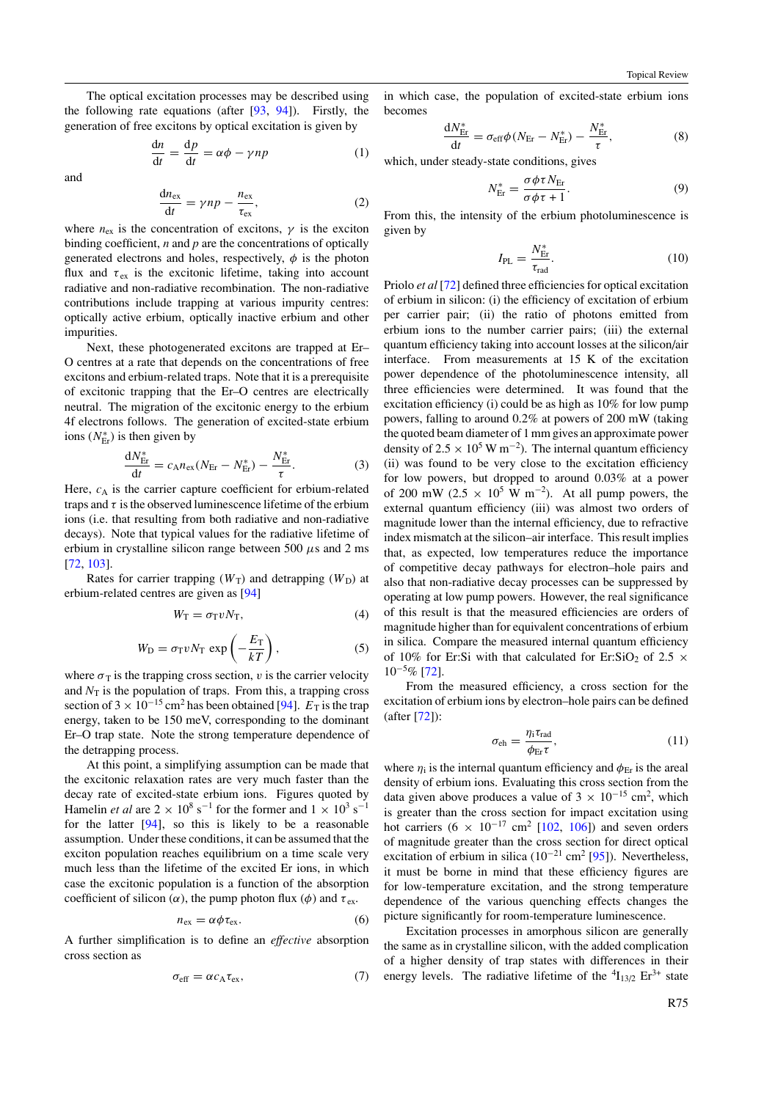The optical excitation processes may be described using the following rate equations (after  $[93, 94]$  $[93, 94]$  $[93, 94]$ ). Firstly, the generation of free excitons by optical excitation is given by

$$
\frac{dn}{dt} = \frac{dp}{dt} = \alpha\phi - \gamma np \tag{1}
$$

and

$$
\frac{dn_{\text{ex}}}{dt} = \gamma np - \frac{n_{\text{ex}}}{\tau_{\text{ex}}},\tag{2}
$$

where  $n_{ex}$  is the concentration of excitons,  $\gamma$  is the exciton binding coefficient, *n* and *p* are the concentrations of optically generated electrons and holes, respectively,  $\phi$  is the photon flux and  $\tau_{ex}$  is the excitonic lifetime, taking into account radiative and non-radiative recombination. The non-radiative contributions include trapping at various impurity centres: optically active erbium, optically inactive erbium and other impurities.

Next, these photogenerated excitons are trapped at Er– O centres at a rate that depends on the concentrations of free excitons and erbium-related traps. Note that it is a prerequisite of excitonic trapping that the Er–O centres are electrically neutral. The migration of the excitonic energy to the erbium 4f electrons follows. The generation of excited-state erbium ions  $(N_{\text{Er}}^{*})$  is then given by

$$
\frac{dN_{\rm Er}^*}{dt} = c_{\rm A} n_{\rm ex} (N_{\rm Er} - N_{\rm Er}^*) - \frac{N_{\rm Er}^*}{\tau}.
$$
 (3)

Here, *c*<sup>A</sup> is the carrier capture coefficient for erbium-related traps and  $\tau$  is the observed luminescence lifetime of the erbium ions (i.e. that resulting from both radiative and non-radiative decays). Note that typical values for the radiative lifetime of erbium in crystalline silicon range between 500 *µ*s and 2 ms [\[72,](#page-18-0) [103\]](#page-18-0).

Rates for carrier trapping  $(W_T)$  and detrapping  $(W_D)$  at erbium-related centres are given as [\[94](#page-18-0)]

$$
W_{\rm T} = \sigma_{\rm T} v N_{\rm T},\tag{4}
$$

$$
W_{\rm D} = \sigma_{\rm T} v N_{\rm T} \exp\left(-\frac{E_{\rm T}}{kT}\right),\tag{5}
$$

where  $\sigma_{\rm T}$  is the trapping cross section, *v* is the carrier velocity and  $N_T$  is the population of traps. From this, a trapping cross section of  $3 \times 10^{-15}$  cm<sup>2</sup> has been obtained [\[94](#page-18-0)].  $E_T$  is the trap energy, taken to be 150 meV, corresponding to the dominant Er–O trap state. Note the strong temperature dependence of the detrapping process.

At this point, a simplifying assumption can be made that the excitonic relaxation rates are very much faster than the decay rate of excited-state erbium ions. Figures quoted by Hamelin *et al* are  $2 \times 10^8$  s<sup>-1</sup> for the former and  $1 \times 10^3$  s<sup>-1</sup> for the latter [\[94\]](#page-18-0), so this is likely to be a reasonable assumption. Under these conditions, it can be assumed that the exciton population reaches equilibrium on a time scale very much less than the lifetime of the excited Er ions, in which case the excitonic population is a function of the absorption coefficient of silicon ( $\alpha$ ), the pump photon flux ( $\phi$ ) and  $\tau_{ex}$ .

$$
n_{\rm ex} = \alpha \phi \tau_{\rm ex}.\tag{6}
$$

A further simplification is to define an *effective* absorption cross section as

$$
\sigma_{\rm eff} = \alpha c_{\rm A} \tau_{\rm ex},\tag{7}
$$

in which case, the population of excited-state erbium ions becomes

$$
\frac{dN_{\rm Er}^*}{dt} = \sigma_{\rm eff} \phi (N_{\rm Er} - N_{\rm Er}^*) - \frac{N_{\rm Er}^*}{\tau},\tag{8}
$$

which, under steady-state conditions, gives

$$
N_{\rm Er}^* = \frac{\sigma \phi \tau N_{\rm Er}}{\sigma \phi \tau + 1}.
$$
\n(9)

From this, the intensity of the erbium photoluminescence is given by

$$
I_{\rm PL} = \frac{N_{\rm Er}^*}{\tau_{\rm rad}}.\tag{10}
$$

Priolo *et al* [\[72\]](#page-18-0) defined three efficiencies for optical excitation of erbium in silicon: (i) the efficiency of excitation of erbium per carrier pair; (ii) the ratio of photons emitted from erbium ions to the number carrier pairs; (iii) the external quantum efficiency taking into account losses at the silicon/air interface. From measurements at 15 K of the excitation power dependence of the photoluminescence intensity, all three efficiencies were determined. It was found that the excitation efficiency (i) could be as high as 10% for low pump powers, falling to around 0.2% at powers of 200 mW (taking the quoted beam diameter of 1 mm gives an approximate power density of  $2.5 \times 10^5$  W m<sup>-2</sup>). The internal quantum efficiency (ii) was found to be very close to the excitation efficiency for low powers, but dropped to around 0.03% at a power of 200 mW (2.5  $\times$  10<sup>5</sup> W m<sup>-2</sup>). At all pump powers, the external quantum efficiency (iii) was almost two orders of magnitude lower than the internal efficiency, due to refractive index mismatch at the silicon–air interface. This result implies that, as expected, low temperatures reduce the importance of competitive decay pathways for electron–hole pairs and also that non-radiative decay processes can be suppressed by operating at low pump powers. However, the real significance of this result is that the measured efficiencies are orders of magnitude higher than for equivalent concentrations of erbium in silica. Compare the measured internal quantum efficiency of 10% for Er:Si with that calculated for Er:SiO<sub>2</sub> of 2.5  $\times$ 10−<sup>5</sup> % [\[72](#page-18-0)].

From the measured efficiency, a cross section for the excitation of erbium ions by electron–hole pairs can be defined (after [\[72](#page-18-0)]):

$$
\sigma_{\rm eh} = \frac{\eta_{\rm i} \tau_{\rm rad}}{\phi_{\rm Er} \tau},\tag{11}
$$

where  $\eta_i$  is the internal quantum efficiency and  $\phi_{Er}$  is the areal density of erbium ions. Evaluating this cross section from the data given above produces a value of  $3 \times 10^{-15}$  cm<sup>2</sup>, which is greater than the cross section for impact excitation using hot carriers (6  $\times$  10<sup>-17</sup> cm<sup>2</sup> [\[102](#page-18-0), [106](#page-18-0)]) and seven orders of magnitude greater than the cross section for direct optical excitation of erbium in silica ( $10^{-21}$  cm<sup>2</sup> [\[95\]](#page-18-0)). Nevertheless, it must be borne in mind that these efficiency figures are for low-temperature excitation, and the strong temperature dependence of the various quenching effects changes the picture significantly for room-temperature luminescence.

Excitation processes in amorphous silicon are generally the same as in crystalline silicon, with the added complication of a higher density of trap states with differences in their energy levels. The radiative lifetime of the  ${}^{4}I_{13/2}$   $Er^{3+}$  state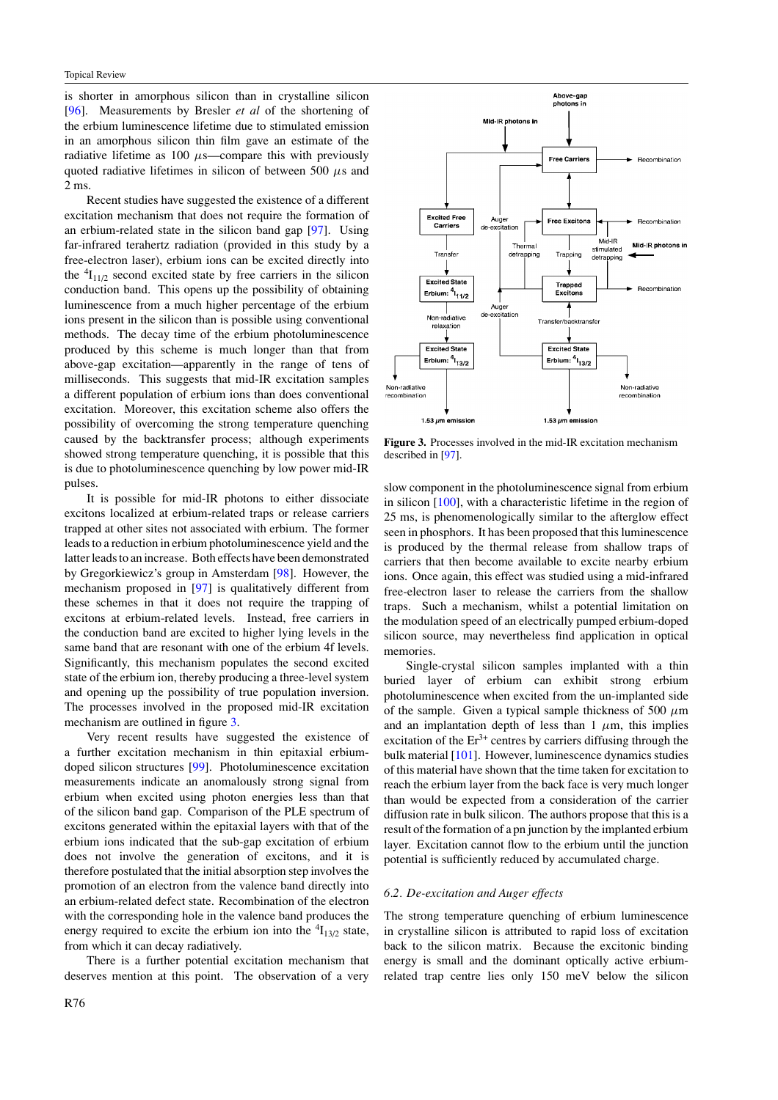is shorter in amorphous silicon than in crystalline silicon [\[96\]](#page-18-0). Measurements by Bresler *et al* of the shortening of the erbium luminescence lifetime due to stimulated emission in an amorphous silicon thin film gave an estimate of the radiative lifetime as 100 *µ*s—compare this with previously quoted radiative lifetimes in silicon of between 500 *µ*s and  $2 \text{ ms}$ 

Recent studies have suggested the existence of a different excitation mechanism that does not require the formation of an erbium-related state in the silicon band gap [\[97\]](#page-18-0). Using far-infrared terahertz radiation (provided in this study by a free-electron laser), erbium ions can be excited directly into the  ${}^{4}I_{11/2}$  second excited state by free carriers in the silicon conduction band. This opens up the possibility of obtaining luminescence from a much higher percentage of the erbium ions present in the silicon than is possible using conventional methods. The decay time of the erbium photoluminescence produced by this scheme is much longer than that from above-gap excitation—apparently in the range of tens of milliseconds. This suggests that mid-IR excitation samples a different population of erbium ions than does conventional excitation. Moreover, this excitation scheme also offers the possibility of overcoming the strong temperature quenching caused by the backtransfer process; although experiments showed strong temperature quenching, it is possible that this is due to photoluminescence quenching by low power mid-IR pulses.

It is possible for mid-IR photons to either dissociate excitons localized at erbium-related traps or release carriers trapped at other sites not associated with erbium. The former leads to a reduction in erbium photoluminescence yield and the latter leads to an increase. Both effects have been demonstrated by Gregorkiewicz's group in Amsterdam [\[98](#page-18-0)]. However, the mechanism proposed in [\[97](#page-18-0)] is qualitatively different from these schemes in that it does not require the trapping of excitons at erbium-related levels. Instead, free carriers in the conduction band are excited to higher lying levels in the same band that are resonant with one of the erbium 4f levels. Significantly, this mechanism populates the second excited state of the erbium ion, thereby producing a three-level system and opening up the possibility of true population inversion. The processes involved in the proposed mid-IR excitation mechanism are outlined in figure 3.

Very recent results have suggested the existence of a further excitation mechanism in thin epitaxial erbiumdoped silicon structures [\[99\]](#page-18-0). Photoluminescence excitation measurements indicate an anomalously strong signal from erbium when excited using photon energies less than that of the silicon band gap. Comparison of the PLE spectrum of excitons generated within the epitaxial layers with that of the erbium ions indicated that the sub-gap excitation of erbium does not involve the generation of excitons, and it is therefore postulated that the initial absorption step involves the promotion of an electron from the valence band directly into an erbium-related defect state. Recombination of the electron with the corresponding hole in the valence band produces the energy required to excite the erbium ion into the  ${}^{4}I_{13/2}$  state, from which it can decay radiatively.

There is a further potential excitation mechanism that deserves mention at this point. The observation of a very



**Figure 3.** Processes involved in the mid-IR excitation mechanism described in [\[97\]](#page-18-0).

slow component in the photoluminescence signal from erbium in silicon [\[100\]](#page-18-0), with a characteristic lifetime in the region of 25 ms, is phenomenologically similar to the afterglow effect seen in phosphors. It has been proposed that this luminescence is produced by the thermal release from shallow traps of carriers that then become available to excite nearby erbium ions. Once again, this effect was studied using a mid-infrared free-electron laser to release the carriers from the shallow traps. Such a mechanism, whilst a potential limitation on the modulation speed of an electrically pumped erbium-doped silicon source, may nevertheless find application in optical memories.

Single-crystal silicon samples implanted with a thin buried layer of erbium can exhibit strong erbium photoluminescence when excited from the un-implanted side of the sample. Given a typical sample thickness of 500  $\mu$ m and an implantation depth of less than  $1 \mu m$ , this implies excitation of the  $Er^{3+}$  centres by carriers diffusing through the bulk material [\[101](#page-18-0)]. However, luminescence dynamics studies of this material have shown that the time taken for excitation to reach the erbium layer from the back face is very much longer than would be expected from a consideration of the carrier diffusion rate in bulk silicon. The authors propose that this is a result of the formation of a pn junction by the implanted erbium layer. Excitation cannot flow to the erbium until the junction potential is sufficiently reduced by accumulated charge.

#### *6.2. De-excitation and Auger effects*

The strong temperature quenching of erbium luminescence in crystalline silicon is attributed to rapid loss of excitation back to the silicon matrix. Because the excitonic binding energy is small and the dominant optically active erbiumrelated trap centre lies only 150 meV below the silicon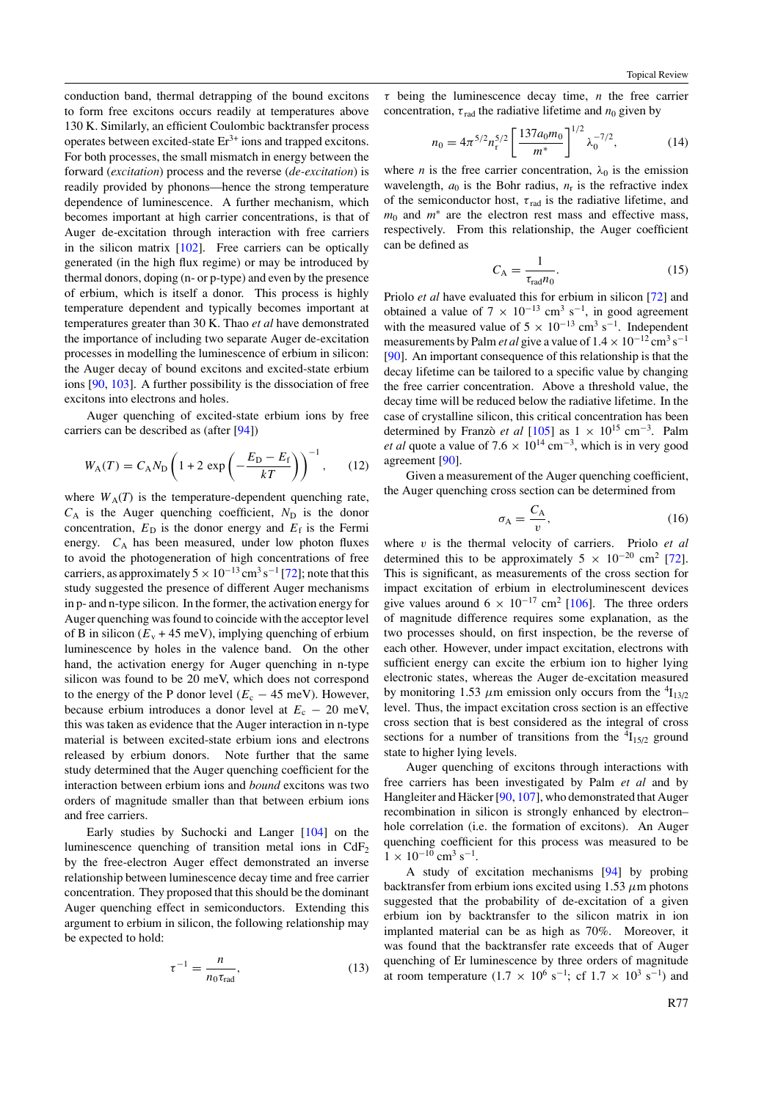conduction band, thermal detrapping of the bound excitons to form free excitons occurs readily at temperatures above 130 K. Similarly, an efficient Coulombic backtransfer process operates between excited-state  $Er<sup>3+</sup>$  ions and trapped excitons. For both processes, the small mismatch in energy between the forward (*excitation*) process and the reverse (*de-excitation*) is readily provided by phonons—hence the strong temperature dependence of luminescence. A further mechanism, which becomes important at high carrier concentrations, is that of Auger de-excitation through interaction with free carriers in the silicon matrix  $[102]$ . Free carriers can be optically generated (in the high flux regime) or may be introduced by thermal donors, doping (n- or p-type) and even by the presence of erbium, which is itself a donor. This process is highly temperature dependent and typically becomes important at temperatures greater than 30 K. Thao *et al* have demonstrated the importance of including two separate Auger de-excitation processes in modelling the luminescence of erbium in silicon: the Auger decay of bound excitons and excited-state erbium ions [\[90](#page-18-0), [103](#page-18-0)]. A further possibility is the dissociation of free excitons into electrons and holes.

Auger quenching of excited-state erbium ions by free carriers can be described as (after [\[94](#page-18-0)])

$$
W_{A}(T) = C_{A}N_{D} \left( 1 + 2 \exp \left( -\frac{E_{D} - E_{f}}{kT} \right) \right)^{-1}, \quad (12)
$$

where  $W_A(T)$  is the temperature-dependent quenching rate,  $C_A$  is the Auger quenching coefficient,  $N_D$  is the donor concentration,  $E_D$  is the donor energy and  $E_f$  is the Fermi energy.  $C_A$  has been measured, under low photon fluxes to avoid the photogeneration of high concentrations of free carriers, as approximately  $5 \times 10^{-13}$  cm<sup>3</sup> s<sup>-1</sup> [\[72\]](#page-18-0); note that this study suggested the presence of different Auger mechanisms in p- and n-type silicon. In the former, the activation energy for Auger quenching was found to coincide with the acceptor level of B in silicon  $(E_v + 45 \text{ meV})$ , implying quenching of erbium luminescence by holes in the valence band. On the other hand, the activation energy for Auger quenching in n-type silicon was found to be 20 meV, which does not correspond to the energy of the P donor level  $(E_c - 45 \text{ meV})$ . However, because erbium introduces a donor level at  $E_c - 20$  meV, this was taken as evidence that the Auger interaction in n-type material is between excited-state erbium ions and electrons released by erbium donors. Note further that the same study determined that the Auger quenching coefficient for the interaction between erbium ions and *bound* excitons was two orders of magnitude smaller than that between erbium ions and free carriers.

Early studies by Suchocki and Langer [\[104](#page-18-0)] on the luminescence quenching of transition metal ions in  $CdF<sub>2</sub>$ by the free-electron Auger effect demonstrated an inverse relationship between luminescence decay time and free carrier concentration. They proposed that this should be the dominant Auger quenching effect in semiconductors. Extending this argument to erbium in silicon, the following relationship may be expected to hold:

$$
\tau^{-1} = \frac{n}{n_0 \tau_{\text{rad}}},\tag{13}
$$

*τ* being the luminescence decay time, *n* the free carrier concentration,  $\tau_{rad}$  the radiative lifetime and  $n_0$  given by

$$
n_0 = 4\pi^{5/2} n_\text{r}^{5/2} \left[ \frac{137 a_0 m_0}{m^*} \right]^{1/2} \lambda_0^{-7/2},\tag{14}
$$

where *n* is the free carrier concentration,  $\lambda_0$  is the emission wavelength,  $a_0$  is the Bohr radius,  $n_r$  is the refractive index of the semiconductor host,  $\tau_{rad}$  is the radiative lifetime, and *m*<sup>0</sup> and *m*<sup>∗</sup> are the electron rest mass and effective mass, respectively. From this relationship, the Auger coefficient can be defined as

$$
C_{\rm A} = \frac{1}{\tau_{\rm rad} n_0}.\tag{15}
$$

Priolo *et al* have evaluated this for erbium in silicon [\[72](#page-18-0)] and obtained a value of  $7 \times 10^{-13}$  cm<sup>3</sup> s<sup>-1</sup>, in good agreement with the measured value of  $5 \times 10^{-13}$  cm<sup>3</sup> s<sup>-1</sup>. Independent measurements by Palm *et al* give a value of  $1.4 \times 10^{-12}$  cm<sup>3</sup> s<sup>-1</sup> [\[90](#page-18-0)]. An important consequence of this relationship is that the decay lifetime can be tailored to a specific value by changing the free carrier concentration. Above a threshold value, the decay time will be reduced below the radiative lifetime. In the case of crystalline silicon, this critical concentration has been determined by Franzo` *et al* [\[105](#page-18-0)] as  $1 \times 10^{15}$  cm<sup>-3</sup>. Palm *et al* quote a value of  $7.6 \times 10^{14}$  cm<sup>-3</sup>, which is in very good agreement [\[90](#page-18-0)].

Given a measurement of the Auger quenching coefficient, the Auger quenching cross section can be determined from

$$
\sigma_{\mathbf{A}} = \frac{C_{\mathbf{A}}}{v},\tag{16}
$$

where *v* is the thermal velocity of carriers. Priolo *et al* determined this to be approximately  $5 \times 10^{-20}$  cm<sup>2</sup> [\[72](#page-18-0)]. This is significant, as measurements of the cross section for impact excitation of erbium in electroluminescent devices give values around  $6 \times 10^{-17}$  cm<sup>2</sup> [\[106\]](#page-18-0). The three orders of magnitude difference requires some explanation, as the two processes should, on first inspection, be the reverse of each other. However, under impact excitation, electrons with sufficient energy can excite the erbium ion to higher lying electronic states, whereas the Auger de-excitation measured by monitoring 1.53  $\mu$ m emission only occurs from the  ${}^{4}I_{13/2}$ level. Thus, the impact excitation cross section is an effective cross section that is best considered as the integral of cross sections for a number of transitions from the  ${}^{4}I_{15/2}$  ground state to higher lying levels.

Auger quenching of excitons through interactions with free carriers has been investigated by Palm *et al* and by Hangleiter and Häcker  $[90, 107]$  $[90, 107]$  $[90, 107]$  $[90, 107]$ , who demonstrated that Auger recombination in silicon is strongly enhanced by electron– hole correlation (i.e. the formation of excitons). An Auger quenching coefficient for this process was measured to be  $1 \times 10^{-10}$  cm<sup>3</sup> s<sup>-1</sup>.

A study of excitation mechanisms [\[94](#page-18-0)] by probing backtransfer from erbium ions excited using  $1.53 \mu$ m photons suggested that the probability of de-excitation of a given erbium ion by backtransfer to the silicon matrix in ion implanted material can be as high as 70%. Moreover, it was found that the backtransfer rate exceeds that of Auger quenching of Er luminescence by three orders of magnitude at room temperature  $(1.7 \times 10^6 \text{ s}^{-1})$ ; cf  $1.7 \times 10^3 \text{ s}^{-1})$  and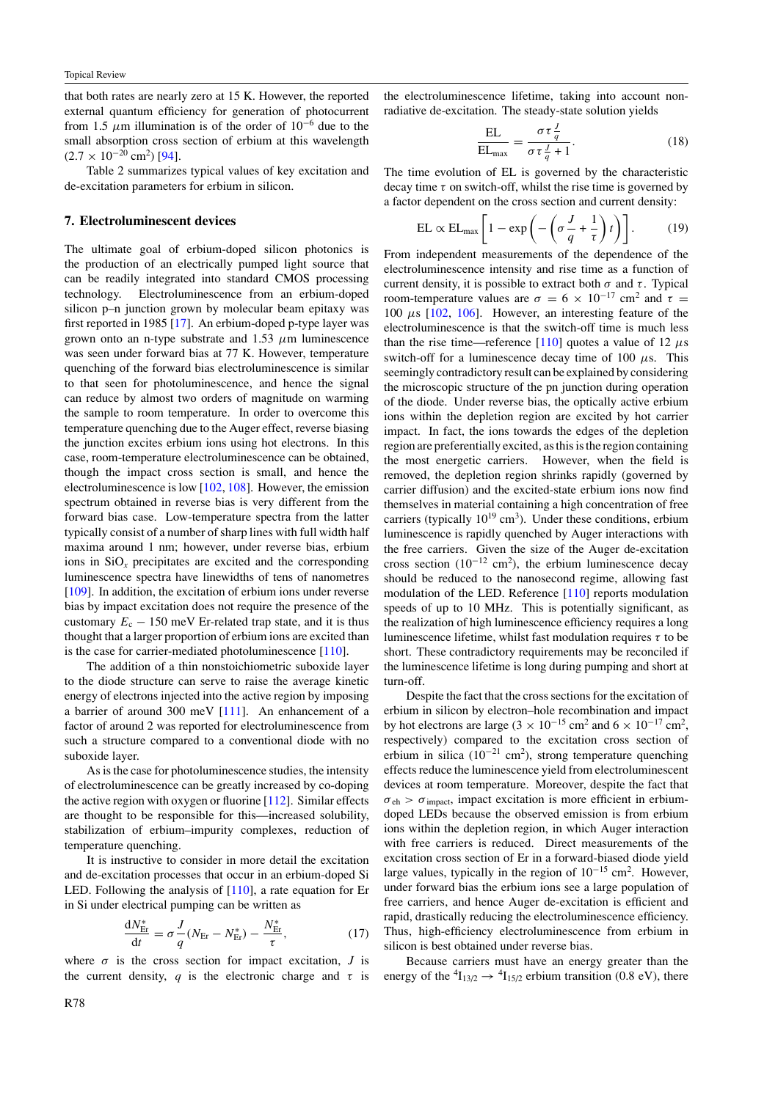that both rates are nearly zero at 15 K. However, the reported external quantum efficiency for generation of photocurrent from 1.5  $\mu$ m illumination is of the order of 10<sup>-6</sup> due to the small absorption cross section of erbium at this wavelength  $(2.7 \times 10^{-20} \text{ cm}^2)$  [\[94](#page-18-0)].

Table 2 summarizes typical values of key excitation and de-excitation parameters for erbium in silicon.

## **7. Electroluminescent devices**

The ultimate goal of erbium-doped silicon photonics is the production of an electrically pumped light source that can be readily integrated into standard CMOS processing technology. Electroluminescence from an erbium-doped silicon p–n junction grown by molecular beam epitaxy was first reported in 1985 [\[17\]](#page-17-0). An erbium-doped p-type layer was grown onto an n-type substrate and  $1.53 \mu$ m luminescence was seen under forward bias at 77 K. However, temperature quenching of the forward bias electroluminescence is similar to that seen for photoluminescence, and hence the signal can reduce by almost two orders of magnitude on warming the sample to room temperature. In order to overcome this temperature quenching due to the Auger effect, reverse biasing the junction excites erbium ions using hot electrons. In this case, room-temperature electroluminescence can be obtained, though the impact cross section is small, and hence the electroluminescence is low [\[102,](#page-18-0) [108](#page-18-0)]. However, the emission spectrum obtained in reverse bias is very different from the forward bias case. Low-temperature spectra from the latter typically consist of a number of sharp lines with full width half maxima around 1 nm; however, under reverse bias, erbium ions in  $SiO<sub>x</sub>$  precipitates are excited and the corresponding luminescence spectra have linewidths of tens of nanometres [\[109\]](#page-18-0). In addition, the excitation of erbium ions under reverse bias by impact excitation does not require the presence of the customary  $E_c - 150$  meV Er-related trap state, and it is thus thought that a larger proportion of erbium ions are excited than is the case for carrier-mediated photoluminescence [\[110\]](#page-18-0).

The addition of a thin nonstoichiometric suboxide layer to the diode structure can serve to raise the average kinetic energy of electrons injected into the active region by imposing a barrier of around 300 meV [\[111\]](#page-19-0). An enhancement of a factor of around 2 was reported for electroluminescence from such a structure compared to a conventional diode with no suboxide layer.

As is the case for photoluminescence studies, the intensity of electroluminescence can be greatly increased by co-doping the active region with oxygen or fluorine [\[112\]](#page-19-0). Similar effects are thought to be responsible for this—increased solubility, stabilization of erbium–impurity complexes, reduction of temperature quenching.

It is instructive to consider in more detail the excitation and de-excitation processes that occur in an erbium-doped Si LED. Following the analysis of [\[110\]](#page-18-0), a rate equation for Er in Si under electrical pumping can be written as

$$
\frac{dN_{\rm Er}^*}{dt} = \sigma \frac{J}{q} (N_{\rm Er} - N_{\rm Er}^*) - \frac{N_{\rm Er}^*}{\tau},\tag{17}
$$

where  $\sigma$  is the cross section for impact excitation, *J* is the current density, *q* is the electronic charge and  $\tau$  is

the electroluminescence lifetime, taking into account nonradiative de-excitation. The steady-state solution yields

$$
\frac{\text{EL}}{\text{EL}_{\text{max}}} = \frac{\sigma \tau \frac{J}{q}}{\sigma \tau \frac{J}{q} + 1}.
$$
 (18)

The time evolution of EL is governed by the characteristic decay time  $\tau$  on switch-off, whilst the rise time is governed by a factor dependent on the cross section and current density:

EL 
$$
\propto
$$
 EL<sub>max</sub>  $\left[1 - \exp\left(-\left(\sigma \frac{J}{q} + \frac{1}{\tau}\right)t\right)\right]$ . (19)

From independent measurements of the dependence of the electroluminescence intensity and rise time as a function of current density, it is possible to extract both  $\sigma$  and  $\tau$ . Typical room-temperature values are  $\sigma = 6 \times 10^{-17}$  cm<sup>2</sup> and  $\tau =$ 100  $\mu$ s [\[102,](#page-18-0) [106\]](#page-18-0). However, an interesting feature of the electroluminescence is that the switch-off time is much less than the rise time—reference  $[110]$  $[110]$  quotes a value of 12  $\mu$ s switch-off for a luminescence decay time of 100  $\mu$ s. This seemingly contradictory result can be explained by considering the microscopic structure of the pn junction during operation of the diode. Under reverse bias, the optically active erbium ions within the depletion region are excited by hot carrier impact. In fact, the ions towards the edges of the depletion region are preferentially excited, as this is the region containing the most energetic carriers. However, when the field is removed, the depletion region shrinks rapidly (governed by carrier diffusion) and the excited-state erbium ions now find themselves in material containing a high concentration of free carriers (typically  $10^{19}$  cm<sup>3</sup>). Under these conditions, erbium luminescence is rapidly quenched by Auger interactions with the free carriers. Given the size of the Auger de-excitation cross section  $(10^{-12} \text{ cm}^2)$ , the erbium luminescence decay should be reduced to the nanosecond regime, allowing fast modulation of the LED. Reference [\[110\]](#page-18-0) reports modulation speeds of up to 10 MHz. This is potentially significant, as the realization of high luminescence efficiency requires a long luminescence lifetime, whilst fast modulation requires *τ* to be short. These contradictory requirements may be reconciled if the luminescence lifetime is long during pumping and short at turn-off.

Despite the fact that the cross sections for the excitation of erbium in silicon by electron–hole recombination and impact by hot electrons are large  $(3 \times 10^{-15} \text{ cm}^2 \text{ and } 6 \times 10^{-17} \text{ cm}^2)$ , respectively) compared to the excitation cross section of erbium in silica (10<sup>-21</sup> cm<sup>2</sup>), strong temperature quenching effects reduce the luminescence yield from electroluminescent devices at room temperature. Moreover, despite the fact that  $\sigma_{eh} > \sigma_{impact}$ , impact excitation is more efficient in erbiumdoped LEDs because the observed emission is from erbium ions within the depletion region, in which Auger interaction with free carriers is reduced. Direct measurements of the excitation cross section of Er in a forward-biased diode yield large values, typically in the region of 10<sup>-15</sup> cm<sup>2</sup>. However, under forward bias the erbium ions see a large population of free carriers, and hence Auger de-excitation is efficient and rapid, drastically reducing the electroluminescence efficiency. Thus, high-efficiency electroluminescence from erbium in silicon is best obtained under reverse bias.

Because carriers must have an energy greater than the energy of the  ${}^{4}I_{13/2} \rightarrow {}^{4}I_{15/2}$  erbium transition (0.8 eV), there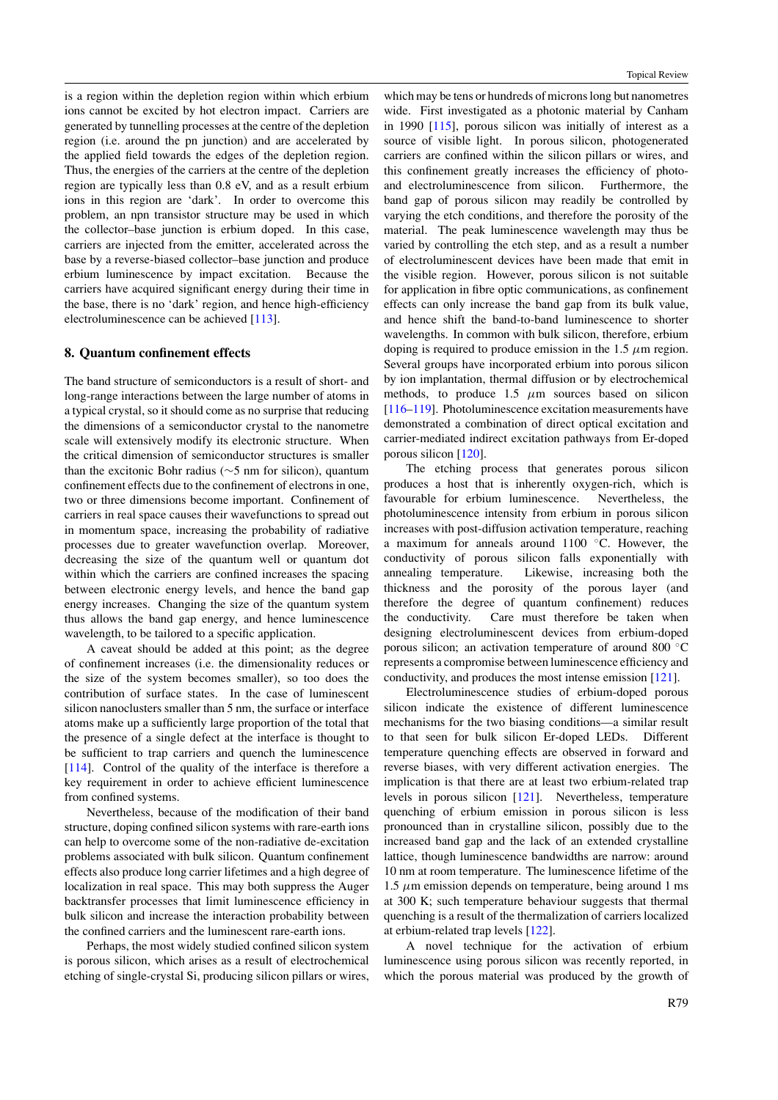is a region within the depletion region within which erbium ions cannot be excited by hot electron impact. Carriers are generated by tunnelling processes at the centre of the depletion region (i.e. around the pn junction) and are accelerated by the applied field towards the edges of the depletion region. Thus, the energies of the carriers at the centre of the depletion region are typically less than 0.8 eV, and as a result erbium ions in this region are 'dark'. In order to overcome this problem, an npn transistor structure may be used in which the collector–base junction is erbium doped. In this case, carriers are injected from the emitter, accelerated across the base by a reverse-biased collector–base junction and produce erbium luminescence by impact excitation. Because the carriers have acquired significant energy during their time in the base, there is no 'dark' region, and hence high-efficiency electroluminescence can be achieved [\[113\]](#page-19-0).

# **8. Quantum confinement effects**

The band structure of semiconductors is a result of short- and long-range interactions between the large number of atoms in a typical crystal, so it should come as no surprise that reducing the dimensions of a semiconductor crystal to the nanometre scale will extensively modify its electronic structure. When the critical dimension of semiconductor structures is smaller than the excitonic Bohr radius (∼5 nm for silicon), quantum confinement effects due to the confinement of electrons in one, two or three dimensions become important. Confinement of carriers in real space causes their wavefunctions to spread out in momentum space, increasing the probability of radiative processes due to greater wavefunction overlap. Moreover, decreasing the size of the quantum well or quantum dot within which the carriers are confined increases the spacing between electronic energy levels, and hence the band gap energy increases. Changing the size of the quantum system thus allows the band gap energy, and hence luminescence wavelength, to be tailored to a specific application.

A caveat should be added at this point; as the degree of confinement increases (i.e. the dimensionality reduces or the size of the system becomes smaller), so too does the contribution of surface states. In the case of luminescent silicon nanoclusters smaller than 5 nm, the surface or interface atoms make up a sufficiently large proportion of the total that the presence of a single defect at the interface is thought to be sufficient to trap carriers and quench the luminescence [\[114\]](#page-19-0). Control of the quality of the interface is therefore a key requirement in order to achieve efficient luminescence from confined systems.

Nevertheless, because of the modification of their band structure, doping confined silicon systems with rare-earth ions can help to overcome some of the non-radiative de-excitation problems associated with bulk silicon. Quantum confinement effects also produce long carrier lifetimes and a high degree of localization in real space. This may both suppress the Auger backtransfer processes that limit luminescence efficiency in bulk silicon and increase the interaction probability between the confined carriers and the luminescent rare-earth ions.

Perhaps, the most widely studied confined silicon system is porous silicon, which arises as a result of electrochemical etching of single-crystal Si, producing silicon pillars or wires,

which may be tens or hundreds of microns long but nanometres wide. First investigated as a photonic material by Canham in 1990 [\[115](#page-19-0)], porous silicon was initially of interest as a source of visible light. In porous silicon, photogenerated carriers are confined within the silicon pillars or wires, and this confinement greatly increases the efficiency of photoand electroluminescence from silicon. Furthermore, the band gap of porous silicon may readily be controlled by varying the etch conditions, and therefore the porosity of the material. The peak luminescence wavelength may thus be varied by controlling the etch step, and as a result a number of electroluminescent devices have been made that emit in the visible region. However, porous silicon is not suitable for application in fibre optic communications, as confinement effects can only increase the band gap from its bulk value, and hence shift the band-to-band luminescence to shorter wavelengths. In common with bulk silicon, therefore, erbium doping is required to produce emission in the  $1.5 \mu$ m region. Several groups have incorporated erbium into porous silicon by ion implantation, thermal diffusion or by electrochemical methods, to produce 1.5  $\mu$ m sources based on silicon [\[116–119\]](#page-19-0). Photoluminescence excitation measurements have demonstrated a combination of direct optical excitation and carrier-mediated indirect excitation pathways from Er-doped porous silicon [\[120\]](#page-19-0).

The etching process that generates porous silicon produces a host that is inherently oxygen-rich, which is favourable for erbium luminescence. Nevertheless, the photoluminescence intensity from erbium in porous silicon increases with post-diffusion activation temperature, reaching a maximum for anneals around  $1100\degree$ C. However, the conductivity of porous silicon falls exponentially with annealing temperature. Likewise, increasing both the thickness and the porosity of the porous layer (and therefore the degree of quantum confinement) reduces the conductivity. Care must therefore be taken when designing electroluminescent devices from erbium-doped porous silicon; an activation temperature of around 800 ◦C represents a compromise between luminescence efficiency and conductivity, and produces the most intense emission [\[121\]](#page-19-0).

Electroluminescence studies of erbium-doped porous silicon indicate the existence of different luminescence mechanisms for the two biasing conditions—a similar result to that seen for bulk silicon Er-doped LEDs. Different temperature quenching effects are observed in forward and reverse biases, with very different activation energies. The implication is that there are at least two erbium-related trap levels in porous silicon [\[121\]](#page-19-0). Nevertheless, temperature quenching of erbium emission in porous silicon is less pronounced than in crystalline silicon, possibly due to the increased band gap and the lack of an extended crystalline lattice, though luminescence bandwidths are narrow: around 10 nm at room temperature. The luminescence lifetime of the  $1.5 \mu$ m emission depends on temperature, being around 1 ms at 300 K; such temperature behaviour suggests that thermal quenching is a result of the thermalization of carriers localized at erbium-related trap levels [\[122](#page-19-0)].

A novel technique for the activation of erbium luminescence using porous silicon was recently reported, in which the porous material was produced by the growth of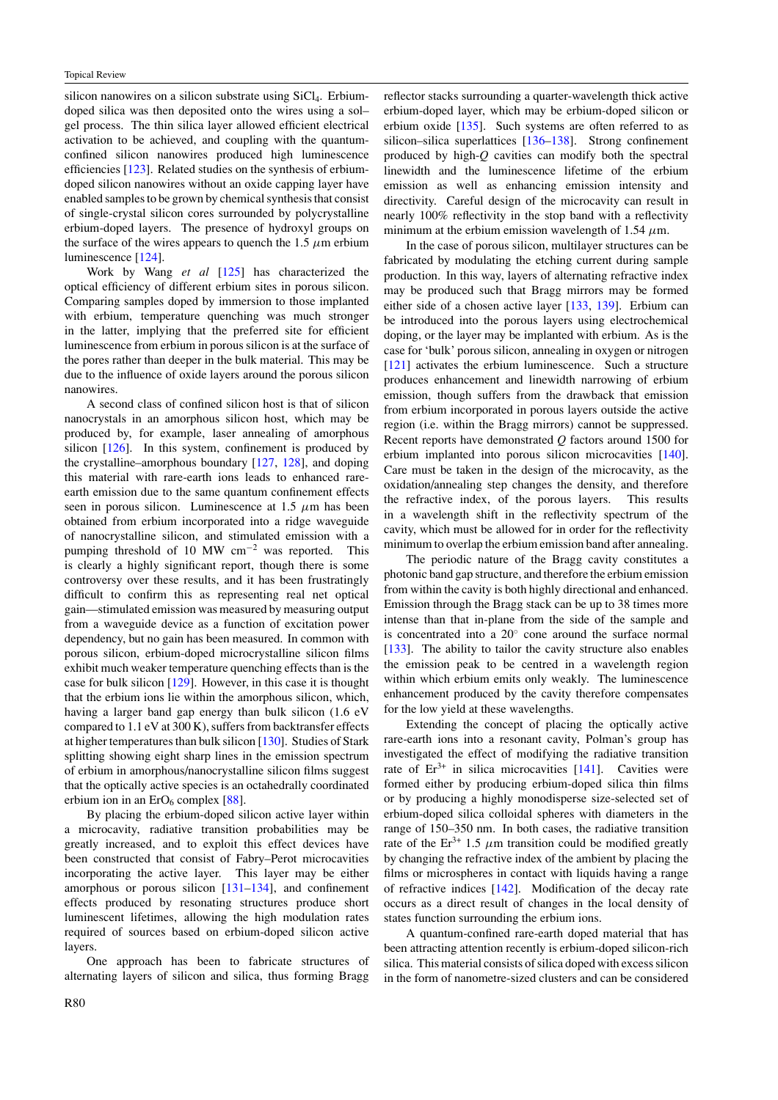silicon nanowires on a silicon substrate using SiCl<sub>4</sub>. Erbiumdoped silica was then deposited onto the wires using a sol– gel process. The thin silica layer allowed efficient electrical activation to be achieved, and coupling with the quantumconfined silicon nanowires produced high luminescence efficiencies [\[123\]](#page-19-0). Related studies on the synthesis of erbiumdoped silicon nanowires without an oxide capping layer have enabled samples to be grown by chemical synthesis that consist of single-crystal silicon cores surrounded by polycrystalline erbium-doped layers. The presence of hydroxyl groups on the surface of the wires appears to quench the 1.5  $\mu$ m erbium luminescence [\[124\]](#page-19-0).

Work by Wang *et al* [\[125](#page-19-0)] has characterized the optical efficiency of different erbium sites in porous silicon. Comparing samples doped by immersion to those implanted with erbium, temperature quenching was much stronger in the latter, implying that the preferred site for efficient luminescence from erbium in porous silicon is at the surface of the pores rather than deeper in the bulk material. This may be due to the influence of oxide layers around the porous silicon nanowires.

A second class of confined silicon host is that of silicon nanocrystals in an amorphous silicon host, which may be produced by, for example, laser annealing of amorphous silicon [\[126\]](#page-19-0). In this system, confinement is produced by the crystalline–amorphous boundary [\[127](#page-19-0), [128](#page-19-0)], and doping this material with rare-earth ions leads to enhanced rareearth emission due to the same quantum confinement effects seen in porous silicon. Luminescence at 1.5 *µ*m has been obtained from erbium incorporated into a ridge waveguide of nanocrystalline silicon, and stimulated emission with a pumping threshold of 10 MW cm<sup>-2</sup> was reported. This is clearly a highly significant report, though there is some controversy over these results, and it has been frustratingly difficult to confirm this as representing real net optical gain—stimulated emission was measured by measuring output from a waveguide device as a function of excitation power dependency, but no gain has been measured. In common with porous silicon, erbium-doped microcrystalline silicon films exhibit much weaker temperature quenching effects than is the case for bulk silicon [\[129](#page-19-0)]. However, in this case it is thought that the erbium ions lie within the amorphous silicon, which, having a larger band gap energy than bulk silicon (1.6 eV compared to 1.1 eV at 300 K), suffers from backtransfer effects at higher temperatures than bulk silicon [\[130\]](#page-19-0). Studies of Stark splitting showing eight sharp lines in the emission spectrum of erbium in amorphous/nanocrystalline silicon films suggest that the optically active species is an octahedrally coordinated erbium ion in an  $E<sub>1</sub>O<sub>6</sub>$  complex [\[88\]](#page-18-0).

By placing the erbium-doped silicon active layer within a microcavity, radiative transition probabilities may be greatly increased, and to exploit this effect devices have been constructed that consist of Fabry–Perot microcavities incorporating the active layer. This layer may be either amorphous or porous silicon [\[131–134\]](#page-19-0), and confinement effects produced by resonating structures produce short luminescent lifetimes, allowing the high modulation rates required of sources based on erbium-doped silicon active layers.

One approach has been to fabricate structures of alternating layers of silicon and silica, thus forming Bragg

reflector stacks surrounding a quarter-wavelength thick active erbium-doped layer, which may be erbium-doped silicon or erbium oxide [\[135](#page-19-0)]. Such systems are often referred to as silicon–silica superlattices [\[136–138\]](#page-19-0). Strong confinement produced by high-*Q* cavities can modify both the spectral linewidth and the luminescence lifetime of the erbium emission as well as enhancing emission intensity and directivity. Careful design of the microcavity can result in nearly 100% reflectivity in the stop band with a reflectivity minimum at the erbium emission wavelength of 1.54  $\mu$ m.

In the case of porous silicon, multilayer structures can be fabricated by modulating the etching current during sample production. In this way, layers of alternating refractive index may be produced such that Bragg mirrors may be formed either side of a chosen active layer [\[133](#page-19-0), [139](#page-19-0)]. Erbium can be introduced into the porous layers using electrochemical doping, or the layer may be implanted with erbium. As is the case for 'bulk' porous silicon, annealing in oxygen or nitrogen [\[121\]](#page-19-0) activates the erbium luminescence. Such a structure produces enhancement and linewidth narrowing of erbium emission, though suffers from the drawback that emission from erbium incorporated in porous layers outside the active region (i.e. within the Bragg mirrors) cannot be suppressed. Recent reports have demonstrated *Q* factors around 1500 for erbium implanted into porous silicon microcavities [\[140](#page-19-0)]. Care must be taken in the design of the microcavity, as the oxidation/annealing step changes the density, and therefore the refractive index, of the porous layers. This results in a wavelength shift in the reflectivity spectrum of the cavity, which must be allowed for in order for the reflectivity minimum to overlap the erbium emission band after annealing.

The periodic nature of the Bragg cavity constitutes a photonic band gap structure, and therefore the erbium emission from within the cavity is both highly directional and enhanced. Emission through the Bragg stack can be up to 38 times more intense than that in-plane from the side of the sample and is concentrated into a 20◦ cone around the surface normal [\[133\]](#page-19-0). The ability to tailor the cavity structure also enables the emission peak to be centred in a wavelength region within which erbium emits only weakly. The luminescence enhancement produced by the cavity therefore compensates for the low yield at these wavelengths.

Extending the concept of placing the optically active rare-earth ions into a resonant cavity, Polman's group has investigated the effect of modifying the radiative transition rate of  $Er^{3+}$  in silica microcavities  $[141]$  $[141]$ . Cavities were formed either by producing erbium-doped silica thin films or by producing a highly monodisperse size-selected set of erbium-doped silica colloidal spheres with diameters in the range of 150–350 nm. In both cases, the radiative transition rate of the  $Er^{3+}$  1.5  $\mu$ m transition could be modified greatly by changing the refractive index of the ambient by placing the films or microspheres in contact with liquids having a range of refractive indices [\[142](#page-19-0)]. Modification of the decay rate occurs as a direct result of changes in the local density of states function surrounding the erbium ions.

A quantum-confined rare-earth doped material that has been attracting attention recently is erbium-doped silicon-rich silica. This material consists of silica doped with excess silicon in the form of nanometre-sized clusters and can be considered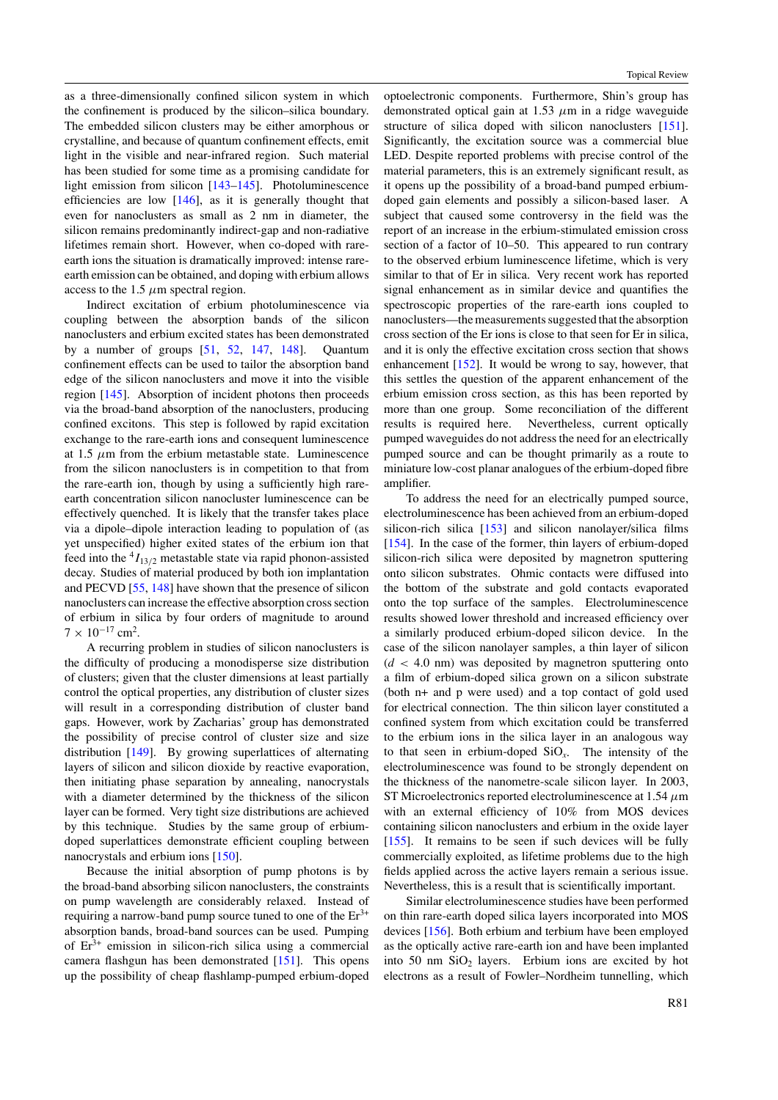as a three-dimensionally confined silicon system in which the confinement is produced by the silicon–silica boundary. The embedded silicon clusters may be either amorphous or crystalline, and because of quantum confinement effects, emit light in the visible and near-infrared region. Such material has been studied for some time as a promising candidate for light emission from silicon [\[143–145](#page-19-0)]. Photoluminescence efficiencies are low [\[146](#page-19-0)], as it is generally thought that even for nanoclusters as small as 2 nm in diameter, the silicon remains predominantly indirect-gap and non-radiative lifetimes remain short. However, when co-doped with rareearth ions the situation is dramatically improved: intense rareearth emission can be obtained, and doping with erbium allows access to the 1.5  $\mu$ m spectral region.

Indirect excitation of erbium photoluminescence via coupling between the absorption bands of the silicon nanoclusters and erbium excited states has been demonstrated by a number of groups [\[51](#page-18-0), [52](#page-18-0), [147](#page-19-0), [148\]](#page-19-0). Quantum confinement effects can be used to tailor the absorption band edge of the silicon nanoclusters and move it into the visible region [\[145\]](#page-19-0). Absorption of incident photons then proceeds via the broad-band absorption of the nanoclusters, producing confined excitons. This step is followed by rapid excitation exchange to the rare-earth ions and consequent luminescence at  $1.5 \mu$ m from the erbium metastable state. Luminescence from the silicon nanoclusters is in competition to that from the rare-earth ion, though by using a sufficiently high rareearth concentration silicon nanocluster luminescence can be effectively quenched. It is likely that the transfer takes place via a dipole–dipole interaction leading to population of (as yet unspecified) higher exited states of the erbium ion that feed into the  $^{4}I_{13/2}$  metastable state via rapid phonon-assisted decay. Studies of material produced by both ion implantation and PECVD [\[55,](#page-18-0) [148\]](#page-19-0) have shown that the presence of silicon nanoclusters can increase the effective absorption cross section of erbium in silica by four orders of magnitude to around  $7 \times 10^{-17}$  cm<sup>2</sup>.

A recurring problem in studies of silicon nanoclusters is the difficulty of producing a monodisperse size distribution of clusters; given that the cluster dimensions at least partially control the optical properties, any distribution of cluster sizes will result in a corresponding distribution of cluster band gaps. However, work by Zacharias' group has demonstrated the possibility of precise control of cluster size and size distribution [\[149](#page-19-0)]. By growing superlattices of alternating layers of silicon and silicon dioxide by reactive evaporation, then initiating phase separation by annealing, nanocrystals with a diameter determined by the thickness of the silicon layer can be formed. Very tight size distributions are achieved by this technique. Studies by the same group of erbiumdoped superlattices demonstrate efficient coupling between nanocrystals and erbium ions [\[150\]](#page-19-0).

Because the initial absorption of pump photons is by the broad-band absorbing silicon nanoclusters, the constraints on pump wavelength are considerably relaxed. Instead of requiring a narrow-band pump source tuned to one of the  $Er^{3+}$ absorption bands, broad-band sources can be used. Pumping of  $Er^{3+}$  emission in silicon-rich silica using a commercial camera flashgun has been demonstrated [\[151](#page-19-0)]. This opens up the possibility of cheap flashlamp-pumped erbium-doped

optoelectronic components. Furthermore, Shin's group has demonstrated optical gain at  $1.53 \mu m$  in a ridge waveguide structure of silica doped with silicon nanoclusters [\[151](#page-19-0)]. Significantly, the excitation source was a commercial blue LED. Despite reported problems with precise control of the material parameters, this is an extremely significant result, as it opens up the possibility of a broad-band pumped erbiumdoped gain elements and possibly a silicon-based laser. A subject that caused some controversy in the field was the report of an increase in the erbium-stimulated emission cross section of a factor of 10–50. This appeared to run contrary to the observed erbium luminescence lifetime, which is very similar to that of Er in silica. Very recent work has reported signal enhancement as in similar device and quantifies the spectroscopic properties of the rare-earth ions coupled to nanoclusters—the measurements suggested that the absorption cross section of the Er ions is close to that seen for Er in silica, and it is only the effective excitation cross section that shows enhancement  $[152]$ . It would be wrong to say, however, that this settles the question of the apparent enhancement of the erbium emission cross section, as this has been reported by more than one group. Some reconciliation of the different results is required here. Nevertheless, current optically pumped waveguides do not address the need for an electrically pumped source and can be thought primarily as a route to miniature low-cost planar analogues of the erbium-doped fibre amplifier.

To address the need for an electrically pumped source, electroluminescence has been achieved from an erbium-doped silicon-rich silica [\[153\]](#page-19-0) and silicon nanolayer/silica films [\[154\]](#page-19-0). In the case of the former, thin layers of erbium-doped silicon-rich silica were deposited by magnetron sputtering onto silicon substrates. Ohmic contacts were diffused into the bottom of the substrate and gold contacts evaporated onto the top surface of the samples. Electroluminescence results showed lower threshold and increased efficiency over a similarly produced erbium-doped silicon device. In the case of the silicon nanolayer samples, a thin layer of silicon  $(d < 4.0$  nm) was deposited by magnetron sputtering onto a film of erbium-doped silica grown on a silicon substrate (both n+ and p were used) and a top contact of gold used for electrical connection. The thin silicon layer constituted a confined system from which excitation could be transferred to the erbium ions in the silica layer in an analogous way to that seen in erbium-doped SiO*x*. The intensity of the electroluminescence was found to be strongly dependent on the thickness of the nanometre-scale silicon layer. In 2003, ST Microelectronics reported electroluminescence at 1.54 *µ*m with an external efficiency of 10% from MOS devices containing silicon nanoclusters and erbium in the oxide layer [\[155\]](#page-19-0). It remains to be seen if such devices will be fully commercially exploited, as lifetime problems due to the high fields applied across the active layers remain a serious issue. Nevertheless, this is a result that is scientifically important.

Similar electroluminescence studies have been performed on thin rare-earth doped silica layers incorporated into MOS devices [\[156\]](#page-19-0). Both erbium and terbium have been employed as the optically active rare-earth ion and have been implanted into 50 nm  $SiO<sub>2</sub>$  layers. Erbium ions are excited by hot electrons as a result of Fowler–Nordheim tunnelling, which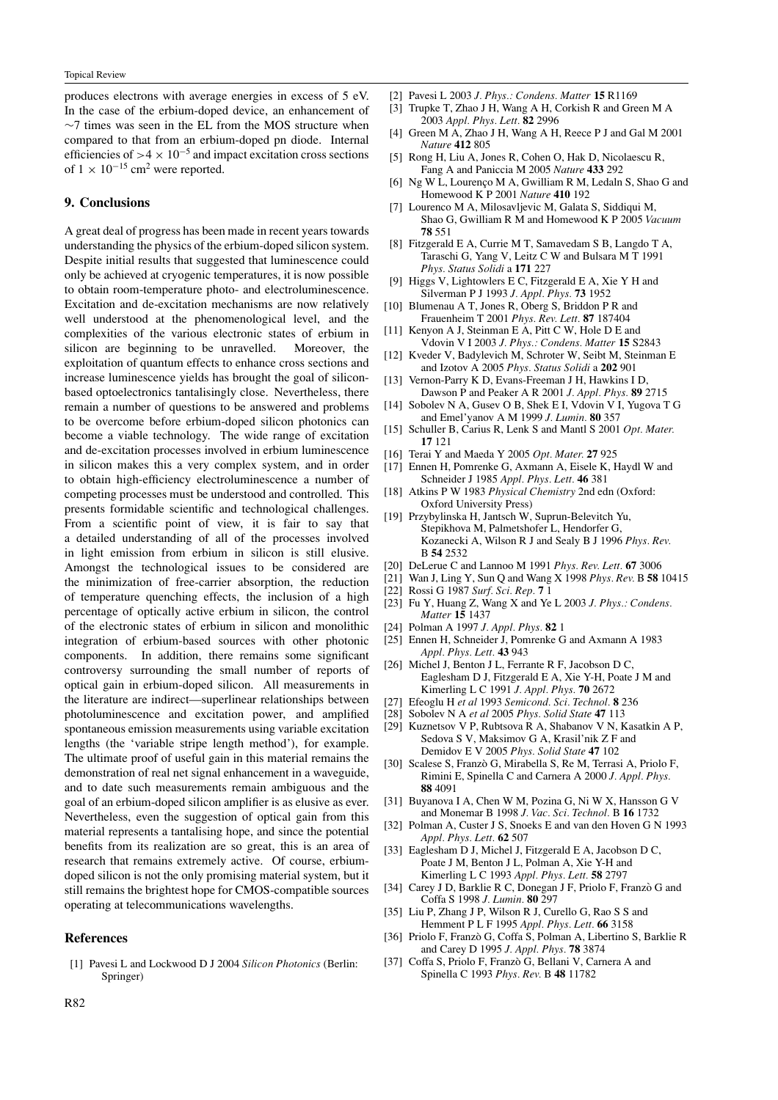<span id="page-17-0"></span>produces electrons with average energies in excess of 5 eV. In the case of the erbium-doped device, an enhancement of ∼7 times was seen in the EL from the MOS structure when compared to that from an erbium-doped pn diode. Internal efficiencies of  $>4 \times 10^{-5}$  and impact excitation cross sections of  $1 \times 10^{-15}$  cm<sup>2</sup> were reported.

## **9. Conclusions**

A great deal of progress has been made in recent years towards understanding the physics of the erbium-doped silicon system. Despite initial results that suggested that luminescence could only be achieved at cryogenic temperatures, it is now possible to obtain room-temperature photo- and electroluminescence. Excitation and de-excitation mechanisms are now relatively well understood at the phenomenological level, and the complexities of the various electronic states of erbium in silicon are beginning to be unravelled. Moreover, the exploitation of quantum effects to enhance cross sections and increase luminescence yields has brought the goal of siliconbased optoelectronics tantalisingly close. Nevertheless, there remain a number of questions to be answered and problems to be overcome before erbium-doped silicon photonics can become a viable technology. The wide range of excitation and de-excitation processes involved in erbium luminescence in silicon makes this a very complex system, and in order to obtain high-efficiency electroluminescence a number of competing processes must be understood and controlled. This presents formidable scientific and technological challenges. From a scientific point of view, it is fair to say that a detailed understanding of all of the processes involved in light emission from erbium in silicon is still elusive. Amongst the technological issues to be considered are the minimization of free-carrier absorption, the reduction of temperature quenching effects, the inclusion of a high percentage of optically active erbium in silicon, the control of the electronic states of erbium in silicon and monolithic integration of erbium-based sources with other photonic components. In addition, there remains some significant controversy surrounding the small number of reports of optical gain in erbium-doped silicon. All measurements in the literature are indirect—superlinear relationships between photoluminescence and excitation power, and amplified spontaneous emission measurements using variable excitation lengths (the 'variable stripe length method'), for example. The ultimate proof of useful gain in this material remains the demonstration of real net signal enhancement in a waveguide, and to date such measurements remain ambiguous and the goal of an erbium-doped silicon amplifier is as elusive as ever. Nevertheless, even the suggestion of optical gain from this material represents a tantalising hope, and since the potential benefits from its realization are so great, this is an area of research that remains extremely active. Of course, erbiumdoped silicon is not the only promising material system, but it still remains the brightest hope for CMOS-compatible sources operating at telecommunications wavelengths.

#### **References**

[1] Pavesi L and Lockwood D J 2004 *Silicon Photonics* (Berlin: Springer)

- [2] Pavesi L 2003 *J. Phys.: Condens. Matter* **15** R1169
- [3] Trupke T, Zhao J H, Wang A H, Corkish R and Green M A 2003 *Appl. Phys. Lett.* **82** 2996
- [4] Green M A, Zhao J H, Wang A H, Reece P J and Gal M 2001 *Nature* **412** 805
- [5] Rong H, Liu A, Jones R, Cohen O, Hak D, Nicolaescu R, Fang A and Paniccia M 2005 *Nature* **433** 292
- [6] Ng W L, Lourenço M A, Gwilliam R M, Ledaln S, Shao G and Homewood K P 2001 *Nature* **410** 192
- [7] Lourenco M A, Milosavljevic M, Galata S, Siddiqui M, Shao G, Gwilliam R M and Homewood K P 2005 *Vacuum* **78** 551
- [8] Fitzgerald E A, Currie M T, Samavedam S B, Langdo T A, Taraschi G, Yang V, Leitz C W and Bulsara M T 1991 *Phys. Status Solidi* a **171** 227
- [9] Higgs V, Lightowlers E C, Fitzgerald E A, Xie Y H and Silverman P J 1993 *J. Appl. Phys.* **73** 1952
- [10] Blumenau A T, Jones R, Oberg S, Briddon P R and Frauenheim T 2001 *Phys. Rev. Lett.* **87** 187404
- [11] Kenyon A J, Steinman E A, Pitt C W, Hole D E and Vdovin V I 2003 *J. Phys.: Condens. Matter* **15** S2843
- [12] Kveder V, Badylevich M, Schroter W, Seibt M, Steinman E and Izotov A 2005 *Phys. Status Solidi* a **202** 901
- [13] Vernon-Parry K D, Evans-Freeman J H, Hawkins I D, Dawson P and Peaker A R 2001 *J. Appl. Phys.* **89** 2715
- [14] Sobolev N A, Gusev O B, Shek E I, Vdovin V I, Yugova T G and Emel'yanov A M 1999 *J. Lumin.* **80** 357
- [15] Schuller B, Carius R, Lenk S and Mantl S 2001 *Opt. Mater.* **17** 121
- [16] Terai Y and Maeda Y 2005 *Opt. Mater.* **27** 925
- [17] Ennen H, Pomrenke G, Axmann A, Eisele K, Haydl W and Schneider J 1985 *Appl. Phys. Lett.* **46** 381
- [18] Atkins P W 1983 *Physical Chemistry* 2nd edn (Oxford: Oxford University Press)
- [19] Przybylinska H, Jantsch W, Suprun-Belevitch Yu, Stepikhova M, Palmetshofer L, Hendorfer G, Kozanecki A, Wilson R J and Sealy B J 1996 *Phys. Rev.* B **54** 2532
- [20] DeLerue C and Lannoo M 1991 *Phys. Rev. Lett.* **67** 3006
- [21] Wan J, Ling Y, Sun Q and Wang X 1998 *Phys. Rev.* B **58** 10415
- [22] Rossi G 1987 *Surf. Sci. Rep.* **7** 1
- [23] Fu Y, Huang Z, Wang X and Ye L 2003 *J. Phys.: Condens. Matter* **15** 1437
- [24] Polman A 1997 *J. Appl. Phys.* **82** 1
- [25] Ennen H, Schneider J, Pomrenke G and Axmann A 1983 *Appl. Phys. Lett.* **43** 943
- [26] Michel J, Benton J L, Ferrante R F, Jacobson D C, Eaglesham D J, Fitzgerald E A, Xie Y-H, Poate J M and Kimerling L C 1991 *J. Appl. Phys.* **70** 2672
- [27] Efeoglu H *et al* 1993 *Semicond. Sci. Technol.* **8** 236
- [28] Sobolev N A *et al* 2005 *Phys. Solid State* **47** 113
- [29] Kuznetsov V P, Rubtsova R A, Shabanov V N, Kasatkin A P, Sedova S V, Maksimov G A, Krasil'nik Z F and Demidov E V 2005 *Phys. Solid State* **47** 102
- [30] Scalese S, Franzò G, Mirabella S, Re M, Terrasi A, Priolo F, Rimini E, Spinella C and Carnera A 2000 *J. Appl. Phys.* **88** 4091
- [31] Buyanova I A, Chen W M, Pozina G, Ni W X, Hansson G V and Monemar B 1998 *J. Vac. Sci. Technol.* B **16** 1732
- [32] Polman A, Custer J S, Snoeks E and van den Hoven G N 1993 *Appl. Phys. Lett.* **62** 507
- [33] Eaglesham D J, Michel J, Fitzgerald E A, Jacobson D C, Poate J M, Benton J L, Polman A, Xie Y-H and Kimerling L C 1993 *Appl. Phys. Lett.* **58** 2797
- [34] Carey J D, Barklie R C, Donegan J F, Priolo F, Franzò G and Coffa S 1998 *J. Lumin.* **80** 297
- [35] Liu P, Zhang J P, Wilson R J, Curello G, Rao S S and Hemment P L F 1995 *Appl. Phys. Lett.* **66** 3158
- [36] Priolo F, Franzò G, Coffa S, Polman A, Libertino S, Barklie R and Carey D 1995 *J. Appl. Phys.* **78** 3874
- [37] Coffa S, Priolo F, Franzo G, Bellani V, Carnera A and Spinella C 1993 *Phys. Rev.* B **48** 11782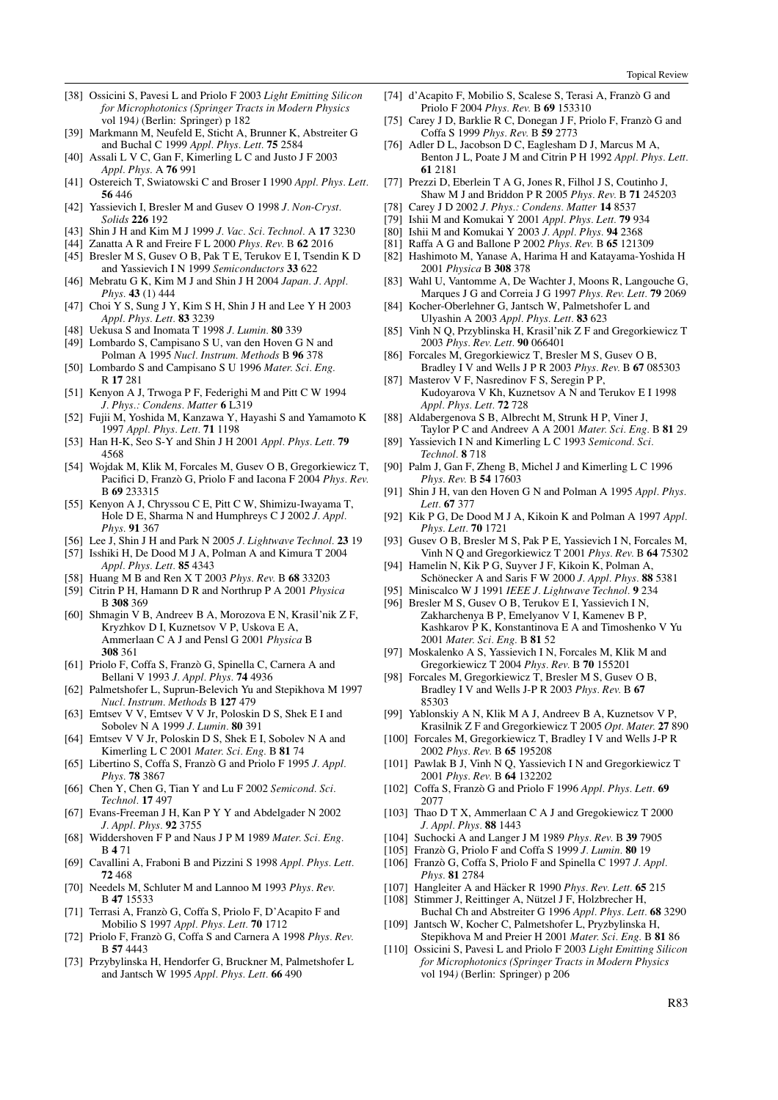- <span id="page-18-0"></span>[38] Ossicini S, Pavesi L and Priolo F 2003 *Light Emitting Silicon for Microphotonics (Springer Tracts in Modern Physics* vol 194*)* (Berlin: Springer) p 182
- [39] Markmann M, Neufeld E, Sticht A, Brunner K, Abstreiter G and Buchal C 1999 *Appl. Phys. Lett.* **75** 2584
- [40] Assali L V C, Gan F, Kimerling L C and Justo J F 2003 *Appl. Phys.* A **76** 991
- [41] Ostereich T, Swiatowski C and Broser I 1990 *Appl. Phys. Lett.* **56** 446
- [42] Yassievich I, Bresler M and Gusev O 1998 *J. Non-Cryst. Solids* **226** 192
- [43] Shin J H and Kim M J 1999 *J. Vac. Sci. Technol.* A **17** 3230
- [44] Zanatta A R and Freire F L 2000 *Phys. Rev.* B **62** 2016
- [45] Bresler M S, Gusev O B, Pak T E, Terukov E I, Tsendin K D and Yassievich I N 1999 *Semiconductors* **33** 622
- [46] Mebratu G K, Kim M J and Shin J H 2004 *Japan. J. Appl. Phys.* **43** (1) 444
- [47] Choi Y S, Sung J Y, Kim S H, Shin J H and Lee Y H 2003 *Appl. Phys. Lett.* **83** 3239
- [48] Uekusa S and Inomata T 1998 *J. Lumin.* **80** 339
- [49] Lombardo S, Campisano S U, van den Hoven G N and Polman A 1995 *Nucl. Instrum. Methods* B **96** 378
- [50] Lombardo S and Campisano S U 1996 *Mater. Sci. Eng.* R **17** 281
- [51] Kenyon A J, Trwoga P F, Federighi M and Pitt C W 1994 *J. Phys.: Condens. Matter* **6** L319
- [52] Fujii M, Yoshida M, Kanzawa Y, Hayashi S and Yamamoto K 1997 *Appl. Phys. Lett.* **71** 1198
- [53] Han H-K, Seo S-Y and Shin J H 2001 *Appl. Phys. Lett.* **79** 4568
- [54] Wojdak M, Klik M, Forcales M, Gusev O B, Gregorkiewicz T, Pacifici D, Franzò G, Priolo F and Iacona F 2004 Phys. Rev. B **69** 233315
- [55] Kenyon A J, Chryssou C E, Pitt C W, Shimizu-Iwayama T, Hole D E, Sharma N and Humphreys C J 2002 *J. Appl. Phys.* **91** 367
- [56] Lee J, Shin J H and Park N 2005 *J. Lightwave Technol.* **23** 19
- [57] Isshiki H, De Dood M J A, Polman A and Kimura T 2004 *Appl. Phys. Lett.* **85** 4343
- [58] Huang M B and Ren X T 2003 *Phys. Rev.* B **68** 33203
- [59] Citrin P H, Hamann D R and Northrup P A 2001 *Physica* B **308** 369
- [60] Shmagin V B, Andreev B A, Morozova E N, Krasil'nik Z F, Kryzhkov D I, Kuznetsov V P, Uskova E A, Ammerlaan C A J and Pensl G 2001 *Physica* B **308** 361
- [61] Priolo F, Coffa S, Franzò G, Spinella C, Carnera A and Bellani V 1993 *J. Appl. Phys.* **74** 4936
- [62] Palmetshofer L, Suprun-Belevich Yu and Stepikhova M 1997 *Nucl. Instrum. Methods* B **127** 479
- [63] Emtsev V V, Emtsev V V Jr, Poloskin D S, Shek E I and Sobolev N A 1999 *J. Lumin.* **80** 391
- [64] Emtsev V V Jr, Poloskin D S, Shek E I, Sobolev N A and Kimerling L C 2001 *Mater. Sci. Eng.* B **81** 74
- [65] Libertino S, Coffa S, Franzò G and Priolo F 1995 J. Appl. *Phys.* **78** 3867
- [66] Chen Y, Chen G, Tian Y and Lu F 2002 *Semicond. Sci. Technol.* **17** 497
- [67] Evans-Freeman J H, Kan P Y Y and Abdelgader N 2002 *J. Appl. Phys.* **92** 3755
- [68] Widdershoven F P and Naus J P M 1989 *Mater. Sci. Eng.* B **4** 71
- [69] Cavallini A, Fraboni B and Pizzini S 1998 *Appl. Phys. Lett.* **72** 468
- [70] Needels M, Schluter M and Lannoo M 1993 *Phys. Rev.* B **47** 15533
- [71] Terrasi A, Franzò G, Coffa S, Priolo F, D'Acapito F and Mobilio S 1997 *Appl. Phys. Lett.* **70** 1712
- [72] Priolo F, Franzò G, Coffa S and Carnera A 1998 Phys. Rev. B **57** 4443
- [73] Przybylinska H, Hendorfer G, Bruckner M, Palmetshofer L and Jantsch W 1995 *Appl. Phys. Lett.* **66** 490
- [74] d'Acapito F, Mobilio S, Scalese S, Terasi A, Franzò G and Priolo F 2004 *Phys. Rev.* B **69** 153310
- [75] Carey J D, Barklie R C, Donegan J F, Priolo F, Franzò G and Coffa S 1999 *Phys. Rev.* B **59** 2773
- [76] Adler D L, Jacobson D C, Eaglesham D J, Marcus M A, Benton J L, Poate J M and Citrin P H 1992 *Appl. Phys. Lett.* **61** 2181
- [77] Prezzi D, Eberlein T A G, Jones R, Filhol J S, Coutinho J, Shaw M J and Briddon P R 2005 *Phys. Rev.* B **71** 245203
- [78] Carey J D 2002 *J. Phys.: Condens. Matter* **14** 8537
- [79] Ishii M and Komukai Y 2001 *Appl. Phys. Lett.* **79** 934
- [80] Ishii M and Komukai Y 2003 *J. Appl. Phys.* **94** 2368
- [81] Raffa A G and Ballone P 2002 *Phys. Rev.* B **65** 121309
- [82] Hashimoto M, Yanase A, Harima H and Katayama-Yoshida H 2001 *Physica* B **308** 378
- [83] Wahl U, Vantomme A, De Wachter J, Moons R, Langouche G, Marques J G and Correia J G 1997 *Phys. Rev. Lett.* **79** 2069
- [84] Kocher-Oberlehner G, Jantsch W, Palmetshofer L and Ulyashin A 2003 *Appl. Phys. Lett.* **83** 623
- [85] Vinh N Q, Przyblinska H, Krasil'nik Z F and Gregorkiewicz T 2003 *Phys. Rev. Lett.* **90** 066401
- [86] Forcales M, Gregorkiewicz T, Bresler M S, Gusev O B, Bradley I V and Wells J P R 2003 *Phys. Rev.* B **67** 085303
- [87] Masterov V F, Nasredinov F S, Seregin P P, Kudoyarova V Kh, Kuznetsov A N and Terukov E I 1998
- *Appl. Phys. Lett.* **72** 728 [88] Aldabergenova S B, Albrecht M, Strunk H P, Viner J, Taylor P C and Andreev A A 2001 *Mater. Sci. Eng.* B **81** 29
- [89] Yassievich I N and Kimerling L C 1993 *Semicond. Sci. Technol.* **8** 718
- [90] Palm J, Gan F, Zheng B, Michel J and Kimerling L C 1996 *Phys. Rev.* B **54** 17603
- [91] Shin J H, van den Hoven G N and Polman A 1995 *Appl. Phys. Lett.* **67** 377
- [92] Kik P G, De Dood M J A, Kikoin K and Polman A 1997 *Appl. Phys. Lett.* **70** 1721
- [93] Gusev O B, Bresler M S, Pak P E, Yassievich I N, Forcales M, Vinh N Q and Gregorkiewicz T 2001 *Phys. Rev.* B **64** 75302
- [94] Hamelin N, Kik P G, Suyver J F, Kikoin K, Polman A, Schönecker A and Saris F W 2000 *J. Appl. Phys.* 88 5381
- [95] Miniscalco W J 1991 *IEEE J. Lightwave Technol.* **9** 234
- [96] Bresler M S, Gusev O B, Terukov E I, Yassievich I N, Zakharchenya B P, Emelyanov V I, Kamenev B P, Kashkarov P K, Konstantinova E A and Timoshenko V Yu 2001 *Mater. Sci. Eng.* B **81** 52
- [97] Moskalenko A S, Yassievich I N, Forcales M, Klik M and Gregorkiewicz T 2004 *Phys. Rev.* B **70** 155201
- [98] Forcales M, Gregorkiewicz T, Bresler M S, Gusev O B, Bradley I V and Wells J-P R 2003 *Phys. Rev.* B **67** 85303
- [99] Yablonskiy A N, Klik M A J, Andreev B A, Kuznetsov V P, Krasilnik Z F and Gregorkiewicz T 2005 *Opt. Mater.* **27** 890
- [100] Forcales M, Gregorkiewicz T, Bradley I V and Wells J-P R 2002 *Phys. Rev.* B **65** 195208
- [101] Pawlak B J, Vinh N Q, Yassievich I N and Gregorkiewicz T 2001 *Phys. Rev.* B **64** 132202
- [102] Coffa S, Franzo G and Priolo F 1996 ` *Appl. Phys. Lett.* **69** 2077
- [103] Thao D T X, Ammerlaan C A J and Gregokiewicz T 2000 *J. Appl. Phys.* **88** 1443
- [104] Suchocki A and Langer J M 1989 *Phys. Rev.* B **39** 7905
- [105] Franzò G, Priolo F and Coffa S 1999 *J. Lumin*. 80 19
- [106] Franzò G, Coffa S, Priolo F and Spinella C 1997 J. Appl. *Phys.* **81** 2784
- [107] Hangleiter A and Häcker R 1990 Phys. Rev. Lett. 65 215
- [108] Stimmer J, Reittinger A, Nützel J F, Holzbrecher H, Buchal Ch and Abstreiter G 1996 *Appl. Phys. Lett.* **68** 3290 [109] Jantsch W, Kocher C, Palmetshofer L, Pryzbylinska H,
- Stepikhova M and Preier H 2001 *Mater. Sci. Eng.* B **81** 86
- [110] Ossicini S, Pavesi L and Priolo F 2003 *Light Emitting Silicon for Microphotonics (Springer Tracts in Modern Physics* vol 194*)* (Berlin: Springer) p 206